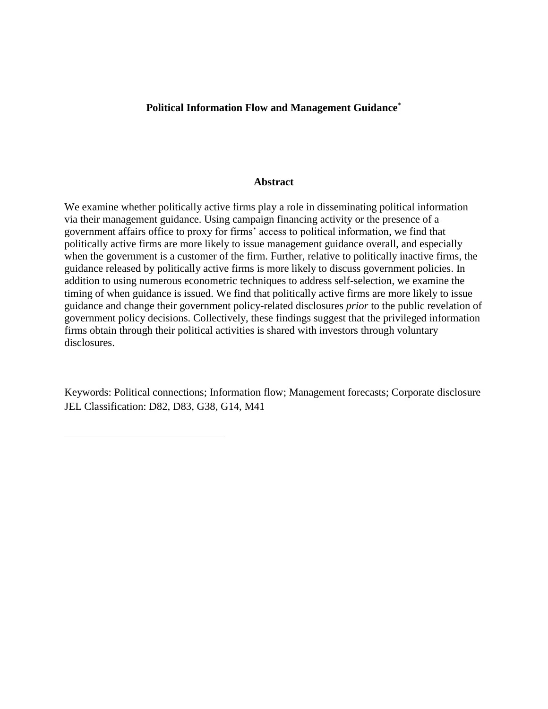# **Political Information Flow and Management Guidance**\*

### **Abstract**

We examine whether politically active firms play a role in disseminating political information via their management guidance. Using campaign financing activity or the presence of a government affairs office to proxy for firms' access to political information, we find that politically active firms are more likely to issue management guidance overall, and especially when the government is a customer of the firm. Further, relative to politically inactive firms, the guidance released by politically active firms is more likely to discuss government policies. In addition to using numerous econometric techniques to address self-selection, we examine the timing of when guidance is issued. We find that politically active firms are more likely to issue guidance and change their government policy-related disclosures *prior* to the public revelation of government policy decisions. Collectively, these findings suggest that the privileged information firms obtain through their political activities is shared with investors through voluntary disclosures.

Keywords: Political connections; Information flow; Management forecasts; Corporate disclosure JEL Classification: D82, D83, G38, G14, M41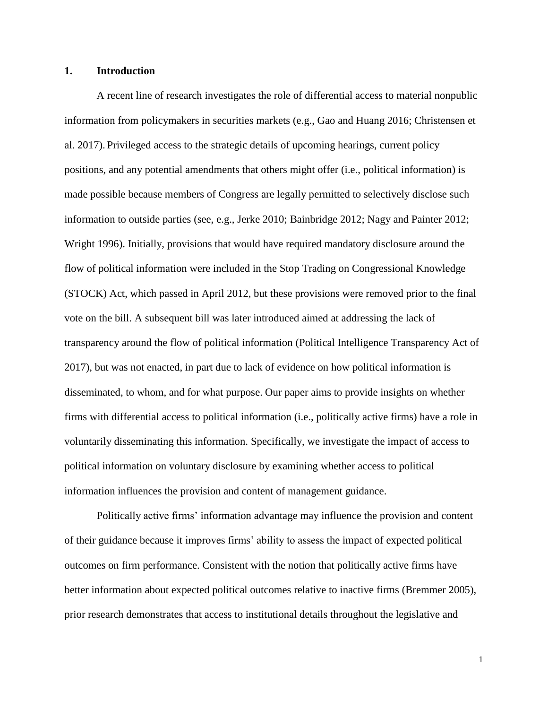# **1. Introduction**

A recent line of research investigates the role of differential access to material nonpublic information from policymakers in securities markets (e.g., Gao and Huang 2016; Christensen et al. 2017). Privileged access to the strategic details of upcoming hearings, current policy positions, and any potential amendments that others might offer (i.e., political information) is made possible because members of Congress are legally permitted to selectively disclose such information to outside parties (see, e.g., Jerke 2010; Bainbridge 2012; Nagy and Painter 2012; Wright 1996). Initially, provisions that would have required mandatory disclosure around the flow of political information were included in the Stop Trading on Congressional Knowledge (STOCK) Act, which passed in April 2012, but these provisions were removed prior to the final vote on the bill. A subsequent bill was later introduced aimed at addressing the lack of transparency around the flow of political information (Political Intelligence Transparency Act of 2017), but was not enacted, in part due to lack of evidence on how political information is disseminated, to whom, and for what purpose. Our paper aims to provide insights on whether firms with differential access to political information (i.e., politically active firms) have a role in voluntarily disseminating this information. Specifically, we investigate the impact of access to political information on voluntary disclosure by examining whether access to political information influences the provision and content of management guidance.

Politically active firms' information advantage may influence the provision and content of their guidance because it improves firms' ability to assess the impact of expected political outcomes on firm performance. Consistent with the notion that politically active firms have better information about expected political outcomes relative to inactive firms (Bremmer 2005), prior research demonstrates that access to institutional details throughout the legislative and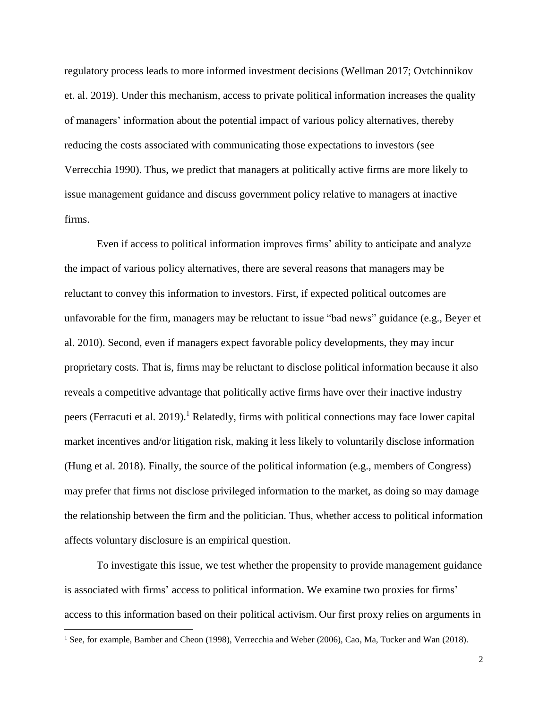regulatory process leads to more informed investment decisions (Wellman 2017; Ovtchinnikov et. al. 2019). Under this mechanism, access to private political information increases the quality of managers' information about the potential impact of various policy alternatives, thereby reducing the costs associated with communicating those expectations to investors (see Verrecchia 1990). Thus, we predict that managers at politically active firms are more likely to issue management guidance and discuss government policy relative to managers at inactive firms.

Even if access to political information improves firms' ability to anticipate and analyze the impact of various policy alternatives, there are several reasons that managers may be reluctant to convey this information to investors. First, if expected political outcomes are unfavorable for the firm, managers may be reluctant to issue "bad news" guidance (e.g., Beyer et al. 2010). Second, even if managers expect favorable policy developments, they may incur proprietary costs. That is, firms may be reluctant to disclose political information because it also reveals a competitive advantage that politically active firms have over their inactive industry peers (Ferracuti et al. 2019).<sup>1</sup> Relatedly, firms with political connections may face lower capital market incentives and/or litigation risk, making it less likely to voluntarily disclose information (Hung et al. 2018). Finally, the source of the political information (e.g., members of Congress) may prefer that firms not disclose privileged information to the market, as doing so may damage the relationship between the firm and the politician. Thus, whether access to political information affects voluntary disclosure is an empirical question.

To investigate this issue, we test whether the propensity to provide management guidance is associated with firms' access to political information. We examine two proxies for firms' access to this information based on their political activism. Our first proxy relies on arguments in

<sup>&</sup>lt;sup>1</sup> See, for example, Bamber and Cheon (1998), Verrecchia and Weber (2006), Cao, Ma, Tucker and Wan (2018).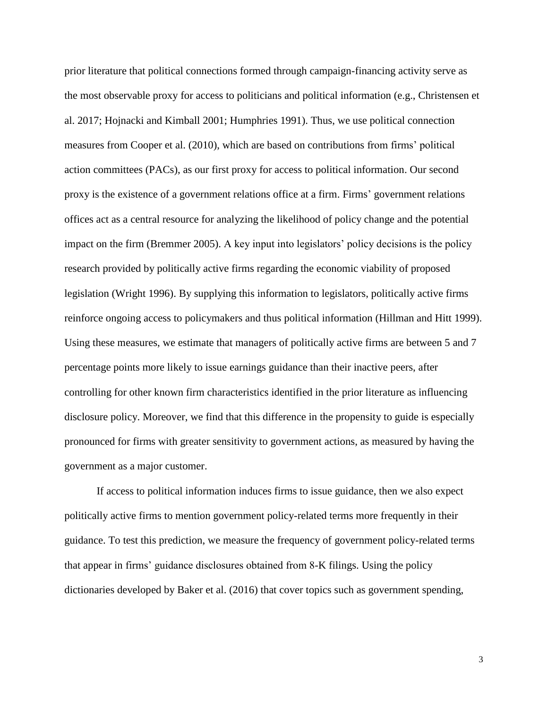prior literature that political connections formed through campaign-financing activity serve as the most observable proxy for access to politicians and political information (e.g., Christensen et al. 2017; Hojnacki and Kimball 2001; Humphries 1991). Thus, we use political connection measures from Cooper et al. (2010), which are based on contributions from firms' political action committees (PACs), as our first proxy for access to political information. Our second proxy is the existence of a government relations office at a firm. Firms' government relations offices act as a central resource for analyzing the likelihood of policy change and the potential impact on the firm (Bremmer 2005). A key input into legislators' policy decisions is the policy research provided by politically active firms regarding the economic viability of proposed legislation (Wright 1996). By supplying this information to legislators, politically active firms reinforce ongoing access to policymakers and thus political information (Hillman and Hitt 1999). Using these measures, we estimate that managers of politically active firms are between 5 and 7 percentage points more likely to issue earnings guidance than their inactive peers, after controlling for other known firm characteristics identified in the prior literature as influencing disclosure policy. Moreover, we find that this difference in the propensity to guide is especially pronounced for firms with greater sensitivity to government actions, as measured by having the government as a major customer.

If access to political information induces firms to issue guidance, then we also expect politically active firms to mention government policy-related terms more frequently in their guidance. To test this prediction, we measure the frequency of government policy-related terms that appear in firms' guidance disclosures obtained from 8-K filings. Using the policy dictionaries developed by Baker et al. (2016) that cover topics such as government spending,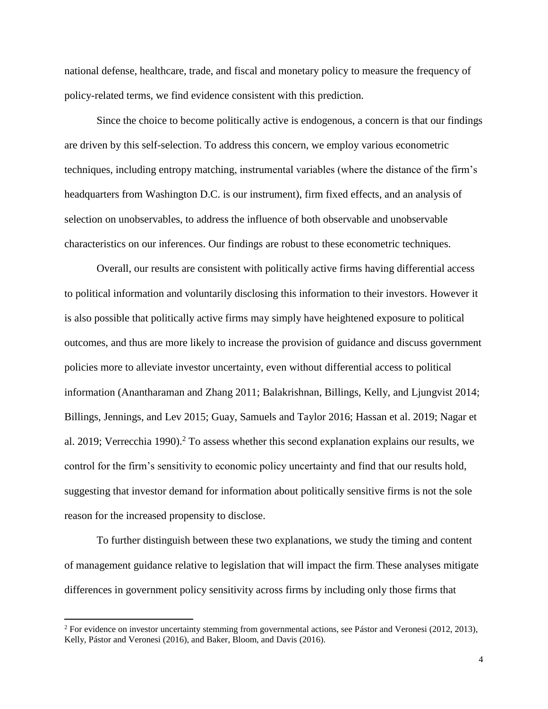national defense, healthcare, trade, and fiscal and monetary policy to measure the frequency of policy-related terms, we find evidence consistent with this prediction.

Since the choice to become politically active is endogenous, a concern is that our findings are driven by this self-selection. To address this concern, we employ various econometric techniques, including entropy matching, instrumental variables (where the distance of the firm's headquarters from Washington D.C. is our instrument), firm fixed effects, and an analysis of selection on unobservables, to address the influence of both observable and unobservable characteristics on our inferences. Our findings are robust to these econometric techniques.

Overall, our results are consistent with politically active firms having differential access to political information and voluntarily disclosing this information to their investors. However it is also possible that politically active firms may simply have heightened exposure to political outcomes, and thus are more likely to increase the provision of guidance and discuss government policies more to alleviate investor uncertainty, even without differential access to political information (Anantharaman and Zhang 2011; Balakrishnan, Billings, Kelly, and Ljungvist 2014; Billings, Jennings, and Lev 2015; Guay, Samuels and Taylor 2016; Hassan et al. 2019; Nagar et al. 2019; Verrecchia 1990).<sup>2</sup> To assess whether this second explanation explains our results, we control for the firm's sensitivity to economic policy uncertainty and find that our results hold, suggesting that investor demand for information about politically sensitive firms is not the sole reason for the increased propensity to disclose.

To further distinguish between these two explanations, we study the timing and content of management guidance relative to legislation that will impact the firm.These analyses mitigate differences in government policy sensitivity across firms by including only those firms that

 $2$  For evidence on investor uncertainty stemming from governmental actions, see Pástor and Veronesi (2012, 2013), Kelly, Pástor and Veronesi (2016), and Baker, Bloom, and Davis (2016).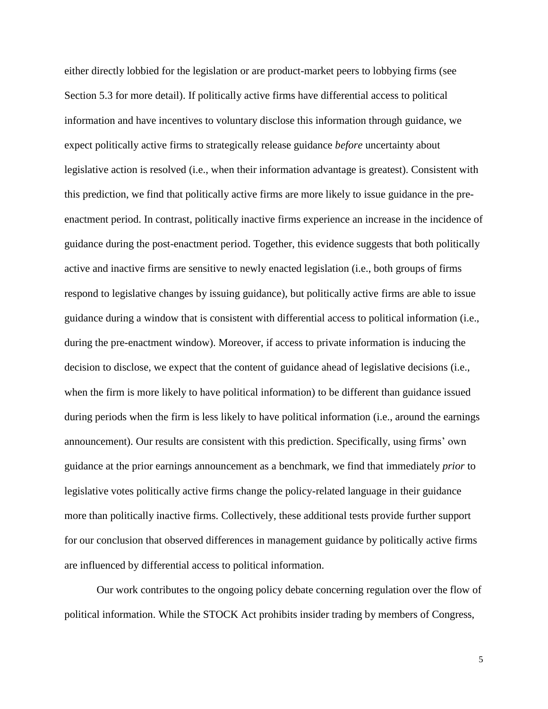either directly lobbied for the legislation or are product-market peers to lobbying firms (see Section 5.3 for more detail). If politically active firms have differential access to political information and have incentives to voluntary disclose this information through guidance, we expect politically active firms to strategically release guidance *before* uncertainty about legislative action is resolved (i.e., when their information advantage is greatest). Consistent with this prediction, we find that politically active firms are more likely to issue guidance in the preenactment period. In contrast, politically inactive firms experience an increase in the incidence of guidance during the post-enactment period. Together, this evidence suggests that both politically active and inactive firms are sensitive to newly enacted legislation (i.e., both groups of firms respond to legislative changes by issuing guidance), but politically active firms are able to issue guidance during a window that is consistent with differential access to political information (i.e., during the pre-enactment window). Moreover, if access to private information is inducing the decision to disclose, we expect that the content of guidance ahead of legislative decisions (i.e., when the firm is more likely to have political information) to be different than guidance issued during periods when the firm is less likely to have political information (i.e., around the earnings announcement). Our results are consistent with this prediction. Specifically, using firms' own guidance at the prior earnings announcement as a benchmark, we find that immediately *prior* to legislative votes politically active firms change the policy-related language in their guidance more than politically inactive firms. Collectively, these additional tests provide further support for our conclusion that observed differences in management guidance by politically active firms are influenced by differential access to political information.

Our work contributes to the ongoing policy debate concerning regulation over the flow of political information. While the STOCK Act prohibits insider trading by members of Congress,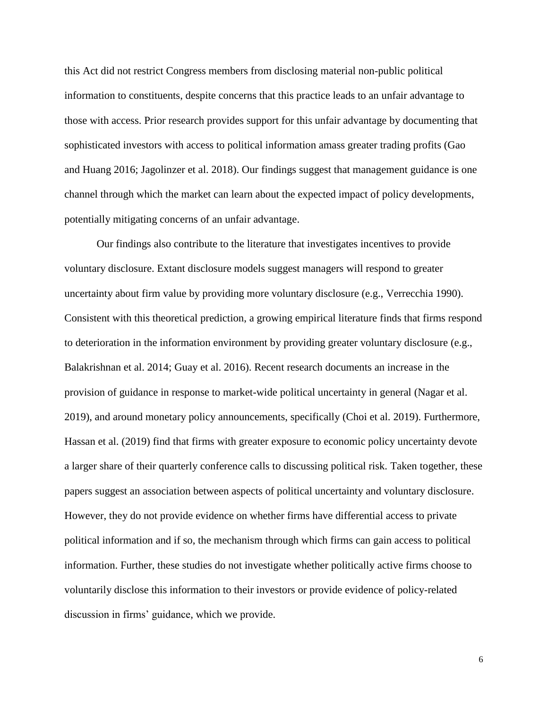this Act did not restrict Congress members from disclosing material non-public political information to constituents, despite concerns that this practice leads to an unfair advantage to those with access. Prior research provides support for this unfair advantage by documenting that sophisticated investors with access to political information amass greater trading profits (Gao and Huang 2016; Jagolinzer et al. 2018). Our findings suggest that management guidance is one channel through which the market can learn about the expected impact of policy developments, potentially mitigating concerns of an unfair advantage.

Our findings also contribute to the literature that investigates incentives to provide voluntary disclosure. Extant disclosure models suggest managers will respond to greater uncertainty about firm value by providing more voluntary disclosure (e.g., Verrecchia 1990). Consistent with this theoretical prediction, a growing empirical literature finds that firms respond to deterioration in the information environment by providing greater voluntary disclosure (e.g., Balakrishnan et al. 2014; Guay et al. 2016). Recent research documents an increase in the provision of guidance in response to market-wide political uncertainty in general (Nagar et al. 2019), and around monetary policy announcements, specifically (Choi et al. 2019). Furthermore, Hassan et al. (2019) find that firms with greater exposure to economic policy uncertainty devote a larger share of their quarterly conference calls to discussing political risk. Taken together, these papers suggest an association between aspects of political uncertainty and voluntary disclosure. However, they do not provide evidence on whether firms have differential access to private political information and if so, the mechanism through which firms can gain access to political information. Further, these studies do not investigate whether politically active firms choose to voluntarily disclose this information to their investors or provide evidence of policy-related discussion in firms' guidance, which we provide.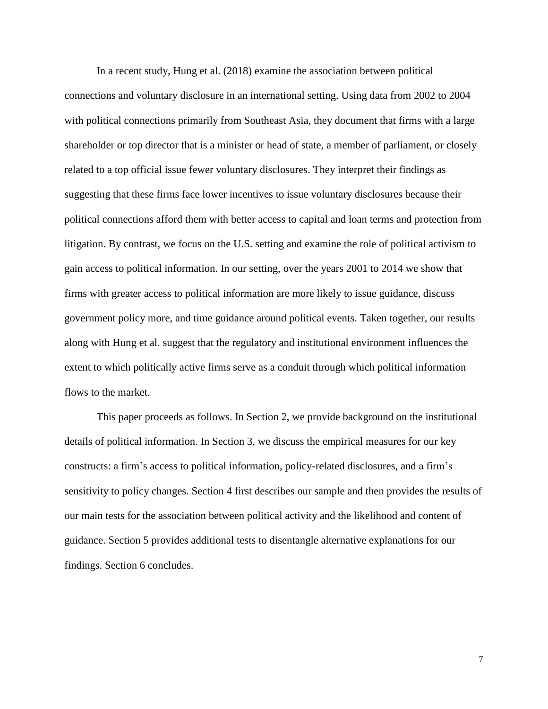In a recent study, Hung et al. (2018) examine the association between political connections and voluntary disclosure in an international setting. Using data from 2002 to 2004 with political connections primarily from Southeast Asia, they document that firms with a large shareholder or top director that is a minister or head of state, a member of parliament, or closely related to a top official issue fewer voluntary disclosures. They interpret their findings as suggesting that these firms face lower incentives to issue voluntary disclosures because their political connections afford them with better access to capital and loan terms and protection from litigation. By contrast, we focus on the U.S. setting and examine the role of political activism to gain access to political information. In our setting, over the years 2001 to 2014 we show that firms with greater access to political information are more likely to issue guidance, discuss government policy more, and time guidance around political events. Taken together, our results along with Hung et al. suggest that the regulatory and institutional environment influences the extent to which politically active firms serve as a conduit through which political information flows to the market.

This paper proceeds as follows. In Section 2, we provide background on the institutional details of political information. In Section 3, we discuss the empirical measures for our key constructs: a firm's access to political information, policy-related disclosures, and a firm's sensitivity to policy changes. Section 4 first describes our sample and then provides the results of our main tests for the association between political activity and the likelihood and content of guidance. Section 5 provides additional tests to disentangle alternative explanations for our findings. Section 6 concludes.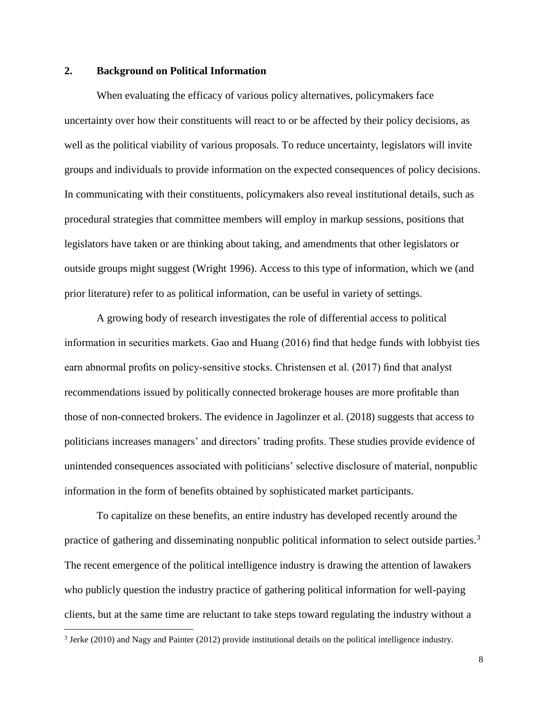# **2. Background on Political Information**

When evaluating the efficacy of various policy alternatives, policymakers face uncertainty over how their constituents will react to or be affected by their policy decisions, as well as the political viability of various proposals. To reduce uncertainty, legislators will invite groups and individuals to provide information on the expected consequences of policy decisions. In communicating with their constituents, policymakers also reveal institutional details, such as procedural strategies that committee members will employ in markup sessions, positions that legislators have taken or are thinking about taking, and amendments that other legislators or outside groups might suggest (Wright 1996). Access to this type of information, which we (and prior literature) refer to as political information, can be useful in variety of settings.

A growing body of research investigates the role of differential access to political information in securities markets. Gao and Huang (2016) find that hedge funds with lobbyist ties earn abnormal profits on policy-sensitive stocks. Christensen et al. (2017) find that analyst recommendations issued by politically connected brokerage houses are more profitable than those of non-connected brokers. The evidence in Jagolinzer et al. (2018) suggests that access to politicians increases managers' and directors' trading profits. These studies provide evidence of unintended consequences associated with politicians' selective disclosure of material, nonpublic information in the form of benefits obtained by sophisticated market participants.

To capitalize on these benefits, an entire industry has developed recently around the practice of gathering and disseminating nonpublic political information to select outside parties.<sup>3</sup> The recent emergence of the political intelligence industry is drawing the attention of lawakers who publicly question the industry practice of gathering political information for well-paying clients, but at the same time are reluctant to take steps toward regulating the industry without a

<sup>3</sup> Jerke (2010) and Nagy and Painter (2012) provide institutional details on the political intelligence industry.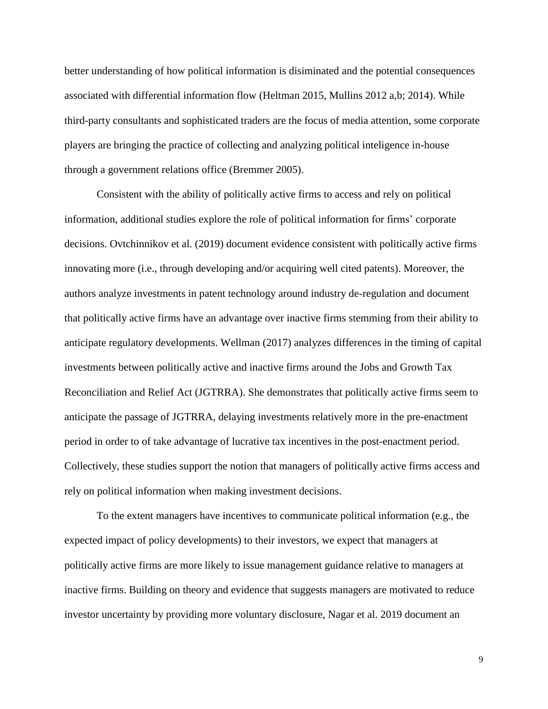better understanding of how political information is disiminated and the potential consequences associated with differential information flow (Heltman 2015, Mullins 2012 a,b; 2014). While third-party consultants and sophisticated traders are the focus of media attention, some corporate players are bringing the practice of collecting and analyzing political inteligence in-house through a government relations office (Bremmer 2005).

Consistent with the ability of politically active firms to access and rely on political information, additional studies explore the role of political information for firms' corporate decisions. Ovtchinnikov et al. (2019) document evidence consistent with politically active firms innovating more (i.e., through developing and/or acquiring well cited patents). Moreover, the authors analyze investments in patent technology around industry de-regulation and document that politically active firms have an advantage over inactive firms stemming from their ability to anticipate regulatory developments. Wellman (2017) analyzes differences in the timing of capital investments between politically active and inactive firms around the Jobs and Growth Tax Reconciliation and Relief Act (JGTRRA). She demonstrates that politically active firms seem to anticipate the passage of JGTRRA, delaying investments relatively more in the pre-enactment period in order to of take advantage of lucrative tax incentives in the post-enactment period. Collectively, these studies support the notion that managers of politically active firms access and rely on political information when making investment decisions.

To the extent managers have incentives to communicate political information (e.g., the expected impact of policy developments) to their investors, we expect that managers at politically active firms are more likely to issue management guidance relative to managers at inactive firms. Building on theory and evidence that suggests managers are motivated to reduce investor uncertainty by providing more voluntary disclosure, Nagar et al. 2019 document an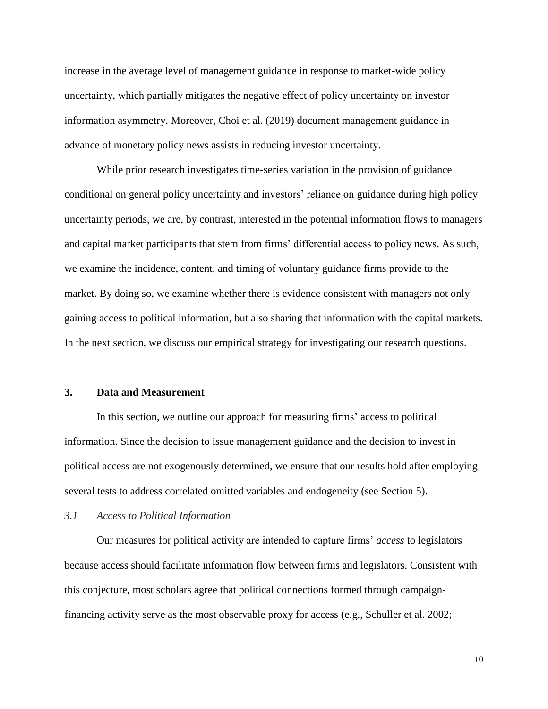increase in the average level of management guidance in response to market-wide policy uncertainty, which partially mitigates the negative effect of policy uncertainty on investor information asymmetry. Moreover, Choi et al. (2019) document management guidance in advance of monetary policy news assists in reducing investor uncertainty.

While prior research investigates time-series variation in the provision of guidance conditional on general policy uncertainty and investors' reliance on guidance during high policy uncertainty periods, we are, by contrast, interested in the potential information flows to managers and capital market participants that stem from firms' differential access to policy news. As such, we examine the incidence, content, and timing of voluntary guidance firms provide to the market. By doing so, we examine whether there is evidence consistent with managers not only gaining access to political information, but also sharing that information with the capital markets. In the next section, we discuss our empirical strategy for investigating our research questions.

## **3. Data and Measurement**

In this section, we outline our approach for measuring firms' access to political information. Since the decision to issue management guidance and the decision to invest in political access are not exogenously determined, we ensure that our results hold after employing several tests to address correlated omitted variables and endogeneity (see Section 5).

#### *3.1 Access to Political Information*

Our measures for political activity are intended to capture firms' *access* to legislators because access should facilitate information flow between firms and legislators. Consistent with this conjecture, most scholars agree that political connections formed through campaignfinancing activity serve as the most observable proxy for access (e.g., Schuller et al. 2002;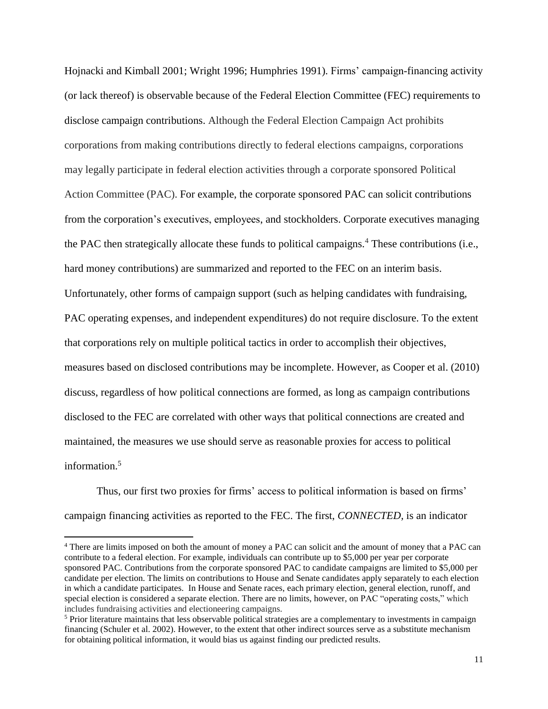Hojnacki and Kimball 2001; Wright 1996; Humphries 1991). Firms' campaign-financing activity (or lack thereof) is observable because of the Federal Election Committee (FEC) requirements to disclose campaign contributions. Although the Federal Election Campaign Act prohibits corporations from making contributions directly to federal elections campaigns, corporations may legally participate in federal election activities through a corporate sponsored Political Action Committee (PAC). For example, the corporate sponsored PAC can solicit contributions from the corporation's executives, employees, and stockholders. Corporate executives managing the PAC then strategically allocate these funds to political campaigns.<sup>4</sup> These contributions (i.e., hard money contributions) are summarized and reported to the FEC on an interim basis. Unfortunately, other forms of campaign support (such as helping candidates with fundraising, PAC operating expenses, and independent expenditures) do not require disclosure. To the extent that corporations rely on multiple political tactics in order to accomplish their objectives, measures based on disclosed contributions may be incomplete. However, as Cooper et al. (2010) discuss, regardless of how political connections are formed, as long as campaign contributions disclosed to the FEC are correlated with other ways that political connections are created and maintained, the measures we use should serve as reasonable proxies for access to political information. 5

Thus, our first two proxies for firms' access to political information is based on firms' campaign financing activities as reported to the FEC. The first, *CONNECTED,* is an indicator

<sup>4</sup> There are limits imposed on both the amount of money a PAC can solicit and the amount of money that a PAC can contribute to a federal election. For example, individuals can contribute up to \$5,000 per year per corporate sponsored PAC. Contributions from the corporate sponsored PAC to candidate campaigns are limited to \$5,000 per candidate per election. The limits on contributions to House and Senate candidates apply separately to each election in which a candidate participates. In House and Senate races, each primary election, general election, runoff, and special election is considered a separate election. There are no limits, however, on PAC "operating costs," which includes fundraising activities and electioneering campaigns.

<sup>5</sup> Prior literature maintains that less observable political strategies are a complementary to investments in campaign financing (Schuler et al. 2002). However, to the extent that other indirect sources serve as a substitute mechanism for obtaining political information, it would bias us against finding our predicted results.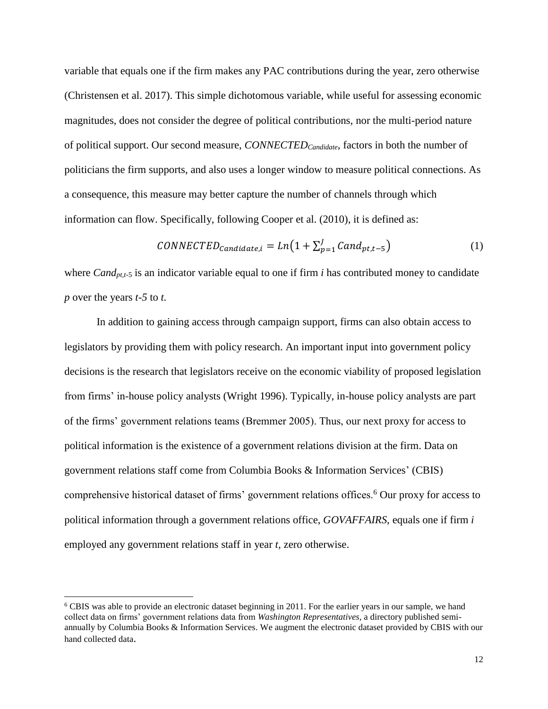variable that equals one if the firm makes any PAC contributions during the year, zero otherwise (Christensen et al. 2017). This simple dichotomous variable, while useful for assessing economic magnitudes, does not consider the degree of political contributions, nor the multi-period nature of political support. Our second measure, *CONNECTEDCandidate*, factors in both the number of politicians the firm supports, and also uses a longer window to measure political connections. As a consequence, this measure may better capture the number of channels through which information can flow. Specifically, following Cooper et al. (2010), it is defined as:

$$
CONNECTED_{candidate,i} = Ln(1 + \sum_{p=1}^{J} Cand_{pt,t-5})
$$
 (1)

where *Cand<sub>pt,t-5</sub>* is an indicator variable equal to one if firm *i* has contributed money to candidate *p* over the years *t-5* to *t.*

In addition to gaining access through campaign support, firms can also obtain access to legislators by providing them with policy research. An important input into government policy decisions is the research that legislators receive on the economic viability of proposed legislation from firms' in-house policy analysts (Wright 1996). Typically, in-house policy analysts are part of the firms' government relations teams (Bremmer 2005). Thus, our next proxy for access to political information is the existence of a government relations division at the firm. Data on government relations staff come from Columbia Books & Information Services' (CBIS) comprehensive historical dataset of firms' government relations offices.<sup>6</sup> Our proxy for access to political information through a government relations office, *GOVAFFAIRS*, equals one if firm *i* employed any government relations staff in year *t,* zero otherwise.

<sup>6</sup> CBIS was able to provide an electronic dataset beginning in 2011. For the earlier years in our sample, we hand collect data on firms' government relations data from *Washington Representatives,* a directory published semiannually by Columbia Books & Information Services. We augment the electronic dataset provided by CBIS with our hand collected data.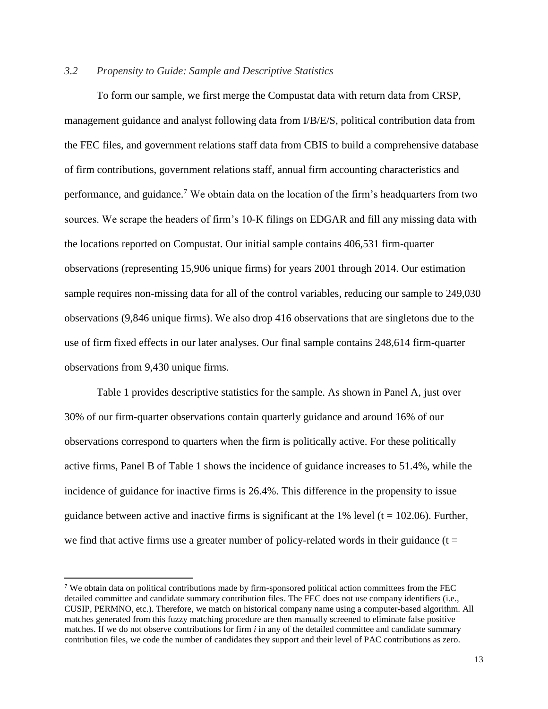# *3.2 Propensity to Guide: Sample and Descriptive Statistics*

To form our sample, we first merge the Compustat data with return data from CRSP, management guidance and analyst following data from I/B/E/S, political contribution data from the FEC files, and government relations staff data from CBIS to build a comprehensive database of firm contributions, government relations staff, annual firm accounting characteristics and performance, and guidance.<sup>7</sup> We obtain data on the location of the firm's headquarters from two sources. We scrape the headers of firm's 10-K filings on EDGAR and fill any missing data with the locations reported on Compustat. Our initial sample contains 406,531 firm-quarter observations (representing 15,906 unique firms) for years 2001 through 2014. Our estimation sample requires non-missing data for all of the control variables, reducing our sample to 249,030 observations (9,846 unique firms). We also drop 416 observations that are singletons due to the use of firm fixed effects in our later analyses. Our final sample contains 248,614 firm-quarter observations from 9,430 unique firms.

Table 1 provides descriptive statistics for the sample. As shown in Panel A, just over 30% of our firm-quarter observations contain quarterly guidance and around 16% of our observations correspond to quarters when the firm is politically active. For these politically active firms, Panel B of Table 1 shows the incidence of guidance increases to 51.4%, while the incidence of guidance for inactive firms is 26.4%. This difference in the propensity to issue guidance between active and inactive firms is significant at the 1% level ( $t = 102.06$ ). Further, we find that active firms use a greater number of policy-related words in their guidance ( $t =$ 

<sup>7</sup> We obtain data on political contributions made by firm-sponsored political action committees from the FEC detailed committee and candidate summary contribution files. The FEC does not use company identifiers (i.e., CUSIP, PERMNO, etc.). Therefore, we match on historical company name using a computer-based algorithm. All matches generated from this fuzzy matching procedure are then manually screened to eliminate false positive matches. If we do not observe contributions for firm *i* in any of the detailed committee and candidate summary contribution files, we code the number of candidates they support and their level of PAC contributions as zero.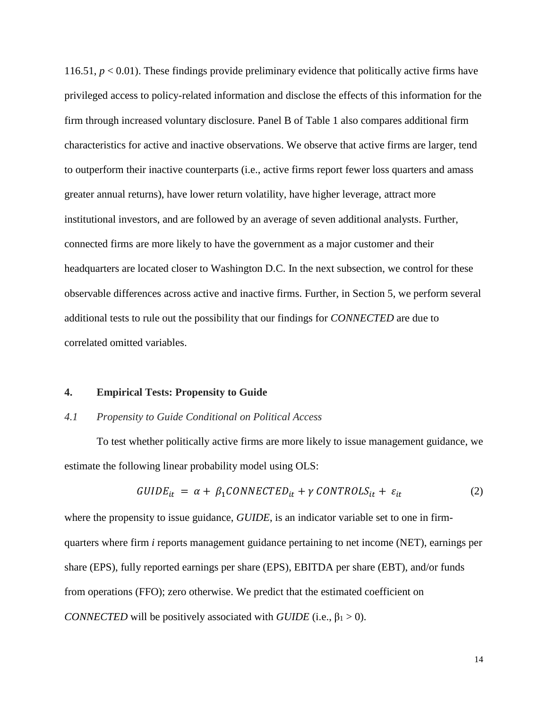116.51,  $p < 0.01$ ). These findings provide preliminary evidence that politically active firms have privileged access to policy-related information and disclose the effects of this information for the firm through increased voluntary disclosure. Panel B of Table 1 also compares additional firm characteristics for active and inactive observations. We observe that active firms are larger, tend to outperform their inactive counterparts (i.e., active firms report fewer loss quarters and amass greater annual returns), have lower return volatility, have higher leverage, attract more institutional investors, and are followed by an average of seven additional analysts. Further, connected firms are more likely to have the government as a major customer and their headquarters are located closer to Washington D.C. In the next subsection, we control for these observable differences across active and inactive firms. Further, in Section 5, we perform several additional tests to rule out the possibility that our findings for *CONNECTED* are due to correlated omitted variables.

#### **4. Empirical Tests: Propensity to Guide**

#### *4.1 Propensity to Guide Conditional on Political Access*

To test whether politically active firms are more likely to issue management guidance, we estimate the following linear probability model using OLS:

$$
GUIDE_{it} = \alpha + \beta_1 CONNECTED_{it} + \gamma CONTROLS_{it} + \varepsilon_{it}
$$
 (2)

where the propensity to issue guidance, *GUIDE*, is an indicator variable set to one in firmquarters where firm *i* reports management guidance pertaining to net income (NET), earnings per share (EPS), fully reported earnings per share (EPS), EBITDA per share (EBT), and/or funds from operations (FFO); zero otherwise. We predict that the estimated coefficient on *CONNECTED* will be positively associated with *GUIDE* (i.e.,  $\beta_1 > 0$ ).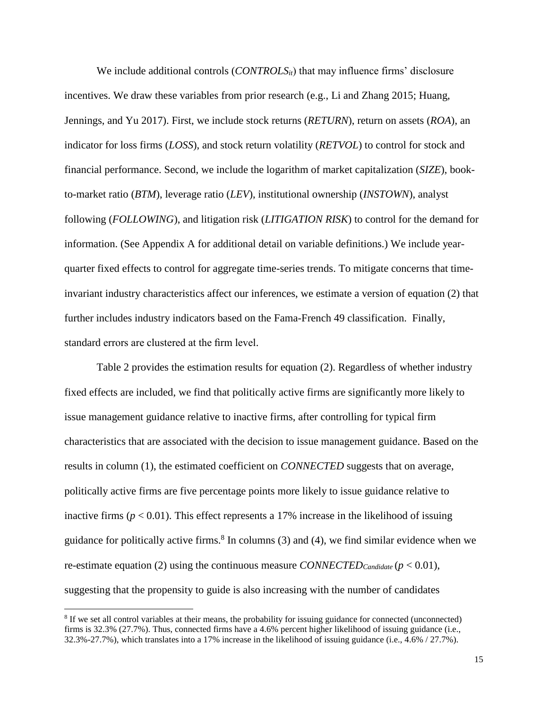We include additional controls (*CONTROLS<sub>it</sub>*) that may influence firms' disclosure incentives. We draw these variables from prior research (e.g., Li and Zhang 2015; Huang, Jennings, and Yu 2017). First, we include stock returns (*RETURN*), return on assets (*ROA*), an indicator for loss firms (*LOSS*), and stock return volatility (*RETVOL*) to control for stock and financial performance. Second, we include the logarithm of market capitalization (*SIZE*), bookto-market ratio (*BTM*), leverage ratio (*LEV*), institutional ownership (*INSTOWN*), analyst following (*FOLLOWING*), and litigation risk (*LITIGATION RISK*) to control for the demand for information. (See Appendix A for additional detail on variable definitions.) We include yearquarter fixed effects to control for aggregate time-series trends. To mitigate concerns that timeinvariant industry characteristics affect our inferences, we estimate a version of equation (2) that further includes industry indicators based on the Fama-French 49 classification. Finally, standard errors are clustered at the firm level.

Table 2 provides the estimation results for equation (2). Regardless of whether industry fixed effects are included, we find that politically active firms are significantly more likely to issue management guidance relative to inactive firms, after controlling for typical firm characteristics that are associated with the decision to issue management guidance. Based on the results in column (1), the estimated coefficient on *CONNECTED* suggests that on average, politically active firms are five percentage points more likely to issue guidance relative to inactive firms  $(p < 0.01)$ . This effect represents a 17% increase in the likelihood of issuing guidance for politically active firms.<sup>8</sup> In columns  $(3)$  and  $(4)$ , we find similar evidence when we re-estimate equation (2) using the continuous measure *CONNECTED*<sub>*Candidate* ( $p < 0.01$ ),</sub> suggesting that the propensity to guide is also increasing with the number of candidates

<sup>&</sup>lt;sup>8</sup> If we set all control variables at their means, the probability for issuing guidance for connected (unconnected) firms is 32.3% (27.7%). Thus, connected firms have a 4.6% percent higher likelihood of issuing guidance (i.e., 32.3%-27.7%), which translates into a 17% increase in the likelihood of issuing guidance (i.e., 4.6% / 27.7%).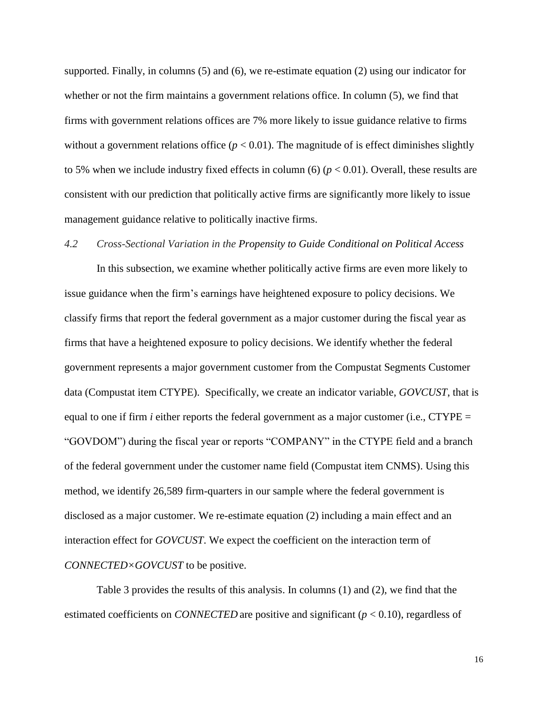supported. Finally, in columns (5) and (6), we re-estimate equation (2) using our indicator for whether or not the firm maintains a government relations office. In column (5), we find that firms with government relations offices are 7% more likely to issue guidance relative to firms without a government relations office  $(p < 0.01)$ . The magnitude of is effect diminishes slightly to 5% when we include industry fixed effects in column (6)  $(p < 0.01)$ . Overall, these results are consistent with our prediction that politically active firms are significantly more likely to issue management guidance relative to politically inactive firms.

### *4.2 Cross-Sectional Variation in the Propensity to Guide Conditional on Political Access*

In this subsection, we examine whether politically active firms are even more likely to issue guidance when the firm's earnings have heightened exposure to policy decisions. We classify firms that report the federal government as a major customer during the fiscal year as firms that have a heightened exposure to policy decisions. We identify whether the federal government represents a major government customer from the Compustat Segments Customer data (Compustat item CTYPE). Specifically, we create an indicator variable, *GOVCUST*, that is equal to one if firm *i* either reports the federal government as a major customer (i.e.,  $CTYPE =$ "GOVDOM") during the fiscal year or reports "COMPANY" in the CTYPE field and a branch of the federal government under the customer name field (Compustat item CNMS). Using this method, we identify 26,589 firm-quarters in our sample where the federal government is disclosed as a major customer. We re-estimate equation (2) including a main effect and an interaction effect for *GOVCUST*. We expect the coefficient on the interaction term of *CONNECTED×GOVCUST* to be positive.

Table 3 provides the results of this analysis. In columns (1) and (2), we find that the estimated coefficients on *CONNECTED* are positive and significant (*p* < 0.10), regardless of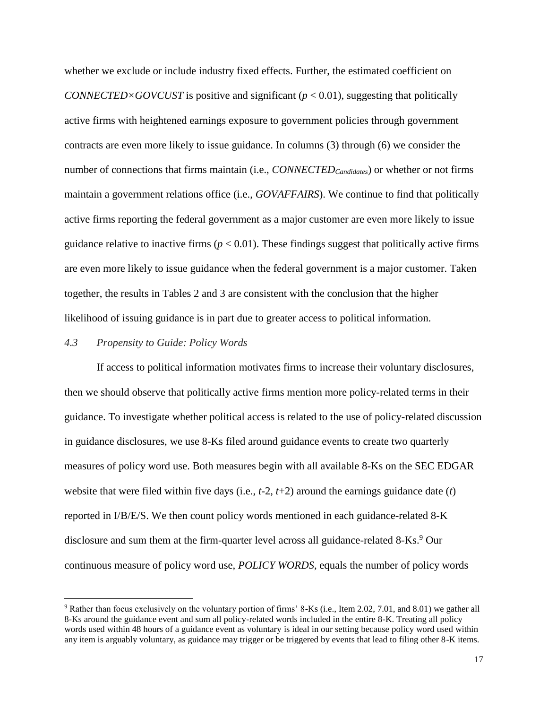whether we exclude or include industry fixed effects. Further, the estimated coefficient on *CONNECTED×GOVCUST* is positive and significant (*p* < 0.01), suggesting that politically active firms with heightened earnings exposure to government policies through government contracts are even more likely to issue guidance. In columns (3) through (6) we consider the number of connections that firms maintain (i.e., *CONNECTEDCandidates*) or whether or not firms maintain a government relations office (i.e., *GOVAFFAIRS*). We continue to find that politically active firms reporting the federal government as a major customer are even more likely to issue guidance relative to inactive firms ( $p < 0.01$ ). These findings suggest that politically active firms are even more likely to issue guidance when the federal government is a major customer. Taken together, the results in Tables 2 and 3 are consistent with the conclusion that the higher likelihood of issuing guidance is in part due to greater access to political information.

## *4.3 Propensity to Guide: Policy Words*

If access to political information motivates firms to increase their voluntary disclosures, then we should observe that politically active firms mention more policy-related terms in their guidance. To investigate whether political access is related to the use of policy-related discussion in guidance disclosures, we use 8-Ks filed around guidance events to create two quarterly measures of policy word use. Both measures begin with all available 8-Ks on the SEC EDGAR website that were filed within five days (i.e., *t*-2, *t*+2) around the earnings guidance date (*t*) reported in I/B/E/S. We then count policy words mentioned in each guidance-related 8-K disclosure and sum them at the firm-quarter level across all guidance-related 8-Ks. <sup>9</sup> Our continuous measure of policy word use, *POLICY WORDS*, equals the number of policy words

<sup>9</sup> Rather than focus exclusively on the voluntary portion of firms' 8-Ks (i.e., Item 2.02, 7.01, and 8.01) we gather all 8-Ks around the guidance event and sum all policy-related words included in the entire 8-K. Treating all policy words used within 48 hours of a guidance event as voluntary is ideal in our setting because policy word used within any item is arguably voluntary, as guidance may trigger or be triggered by events that lead to filing other 8-K items.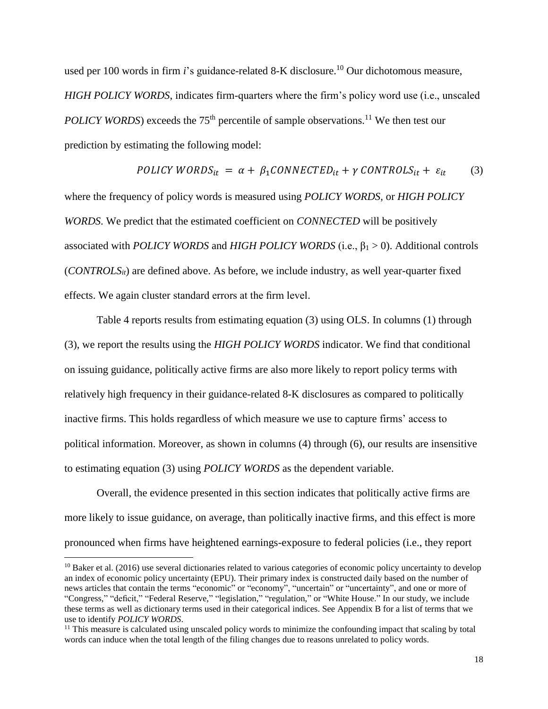used per 100 words in firm *i*'s guidance-related 8-K disclosure.<sup>10</sup> Our dichotomous measure, *HIGH POLICY WORDS*, indicates firm-quarters where the firm's policy word use (i.e., unscaled *POLICY WORDS*) exceeds the 75<sup>th</sup> percentile of sample observations.<sup>11</sup> We then test our prediction by estimating the following model:

POLICY WORD
$$
S_{it} = \alpha + \beta_1 \text{CONNECTED}_{it} + \gamma \text{CONTROLS}_{it} + \varepsilon_{it}
$$
 (3)

where the frequency of policy words is measured using *POLICY WORDS*, or *HIGH POLICY WORDS*. We predict that the estimated coefficient on *CONNECTED* will be positively associated with *POLICY WORDS* and *HIGH POLICY WORDS* (i.e.,  $\beta_1 > 0$ ). Additional controls (*CONTROLSit*) are defined above. As before, we include industry, as well year-quarter fixed effects. We again cluster standard errors at the firm level.

Table 4 reports results from estimating equation (3) using OLS. In columns (1) through (3), we report the results using the *HIGH POLICY WORDS* indicator. We find that conditional on issuing guidance, politically active firms are also more likely to report policy terms with relatively high frequency in their guidance-related 8-K disclosures as compared to politically inactive firms. This holds regardless of which measure we use to capture firms' access to political information. Moreover, as shown in columns (4) through (6), our results are insensitive to estimating equation (3) using *POLICY WORDS* as the dependent variable.

Overall, the evidence presented in this section indicates that politically active firms are more likely to issue guidance, on average, than politically inactive firms, and this effect is more pronounced when firms have heightened earnings-exposure to federal policies (i.e., they report

 $10$  Baker et al. (2016) use several dictionaries related to various categories of economic policy uncertainty to develop an index of economic policy uncertainty (EPU). Their primary index is constructed daily based on the number of news articles that contain the terms "economic" or "economy", "uncertain" or "uncertainty", and one or more of "Congress," "deficit," "Federal Reserve," "legislation," "regulation," or "White House." In our study, we include these terms as well as dictionary terms used in their categorical indices. See Appendix B for a list of terms that we use to identify *POLICY WORDS*.

 $11$  This measure is calculated using unscaled policy words to minimize the confounding impact that scaling by total words can induce when the total length of the filing changes due to reasons unrelated to policy words.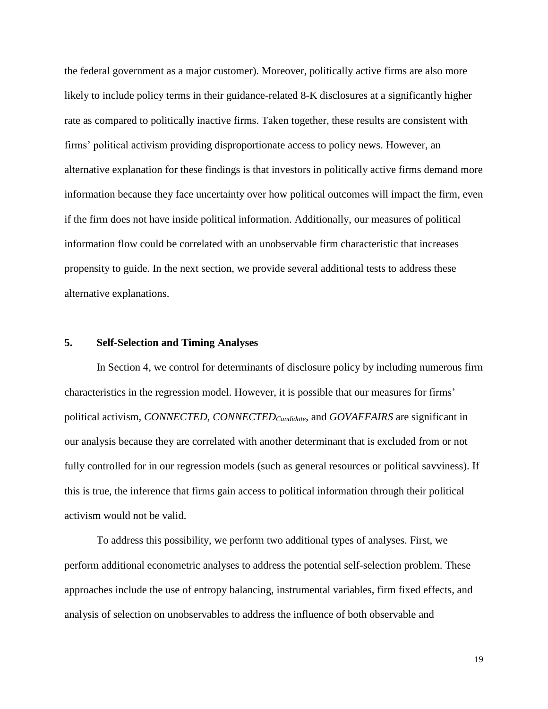the federal government as a major customer). Moreover, politically active firms are also more likely to include policy terms in their guidance-related 8-K disclosures at a significantly higher rate as compared to politically inactive firms. Taken together, these results are consistent with firms' political activism providing disproportionate access to policy news. However, an alternative explanation for these findings is that investors in politically active firms demand more information because they face uncertainty over how political outcomes will impact the firm, even if the firm does not have inside political information. Additionally, our measures of political information flow could be correlated with an unobservable firm characteristic that increases propensity to guide. In the next section, we provide several additional tests to address these alternative explanations.

## **5. Self-Selection and Timing Analyses**

In Section 4, we control for determinants of disclosure policy by including numerous firm characteristics in the regression model. However, it is possible that our measures for firms' political activism, *CONNECTED, CONNECTEDCandidate*, and *GOVAFFAIRS* are significant in our analysis because they are correlated with another determinant that is excluded from or not fully controlled for in our regression models (such as general resources or political savviness). If this is true, the inference that firms gain access to political information through their political activism would not be valid.

To address this possibility, we perform two additional types of analyses. First, we perform additional econometric analyses to address the potential self-selection problem. These approaches include the use of entropy balancing, instrumental variables, firm fixed effects, and analysis of selection on unobservables to address the influence of both observable and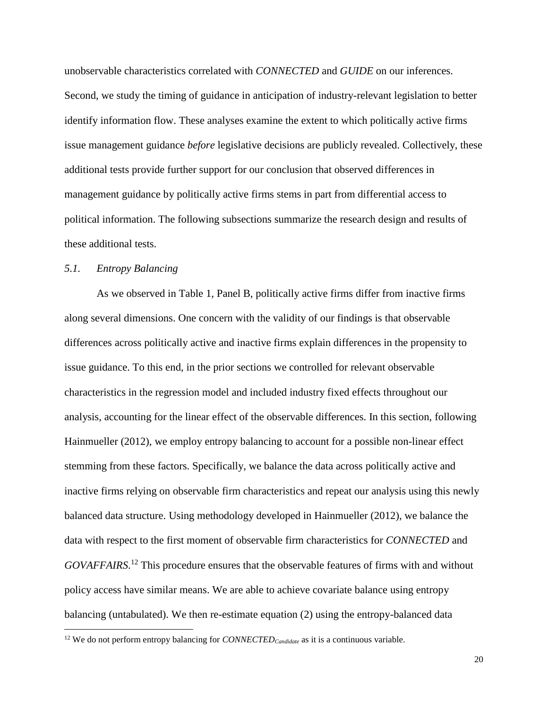unobservable characteristics correlated with *CONNECTED* and *GUIDE* on our inferences. Second, we study the timing of guidance in anticipation of industry-relevant legislation to better identify information flow. These analyses examine the extent to which politically active firms issue management guidance *before* legislative decisions are publicly revealed. Collectively, these additional tests provide further support for our conclusion that observed differences in management guidance by politically active firms stems in part from differential access to political information. The following subsections summarize the research design and results of these additional tests.

# *5.1. Entropy Balancing*

As we observed in Table 1, Panel B, politically active firms differ from inactive firms along several dimensions. One concern with the validity of our findings is that observable differences across politically active and inactive firms explain differences in the propensity to issue guidance. To this end, in the prior sections we controlled for relevant observable characteristics in the regression model and included industry fixed effects throughout our analysis, accounting for the linear effect of the observable differences. In this section, following Hainmueller (2012), we employ entropy balancing to account for a possible non-linear effect stemming from these factors. Specifically, we balance the data across politically active and inactive firms relying on observable firm characteristics and repeat our analysis using this newly balanced data structure. Using methodology developed in Hainmueller (2012), we balance the data with respect to the first moment of observable firm characteristics for *CONNECTED* and *GOVAFFAIRS*. <sup>12</sup> This procedure ensures that the observable features of firms with and without policy access have similar means. We are able to achieve covariate balance using entropy balancing (untabulated). We then re-estimate equation (2) using the entropy-balanced data

<sup>&</sup>lt;sup>12</sup> We do not perform entropy balancing for *CONNECTED*<sub>Candidate</sub> as it is a continuous variable.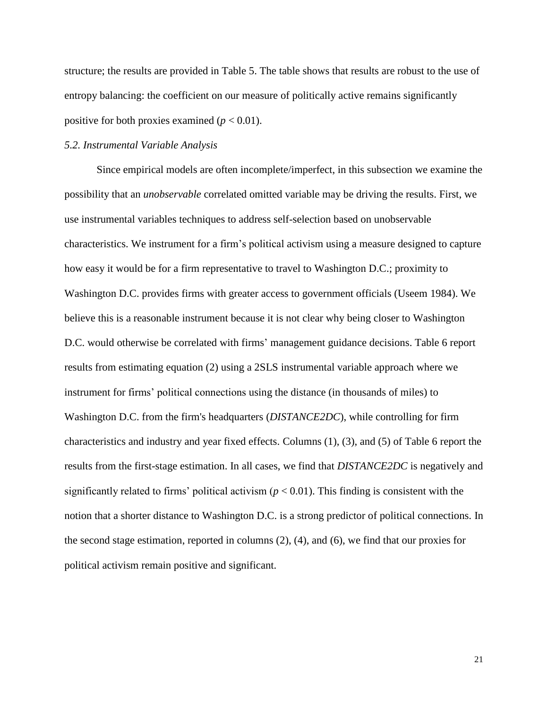structure; the results are provided in Table 5. The table shows that results are robust to the use of entropy balancing: the coefficient on our measure of politically active remains significantly positive for both proxies examined  $(p < 0.01)$ .

## *5.2. Instrumental Variable Analysis*

Since empirical models are often incomplete/imperfect, in this subsection we examine the possibility that an *unobservable* correlated omitted variable may be driving the results. First, we use instrumental variables techniques to address self-selection based on unobservable characteristics. We instrument for a firm's political activism using a measure designed to capture how easy it would be for a firm representative to travel to Washington D.C.; proximity to Washington D.C. provides firms with greater access to government officials (Useem 1984). We believe this is a reasonable instrument because it is not clear why being closer to Washington D.C. would otherwise be correlated with firms' management guidance decisions. Table 6 report results from estimating equation (2) using a 2SLS instrumental variable approach where we instrument for firms' political connections using the distance (in thousands of miles) to Washington D.C. from the firm's headquarters (*DISTANCE2DC*), while controlling for firm characteristics and industry and year fixed effects. Columns (1), (3), and (5) of Table 6 report the results from the first-stage estimation. In all cases, we find that *DISTANCE2DC* is negatively and significantly related to firms' political activism  $(p < 0.01)$ . This finding is consistent with the notion that a shorter distance to Washington D.C. is a strong predictor of political connections. In the second stage estimation, reported in columns (2), (4), and (6), we find that our proxies for political activism remain positive and significant.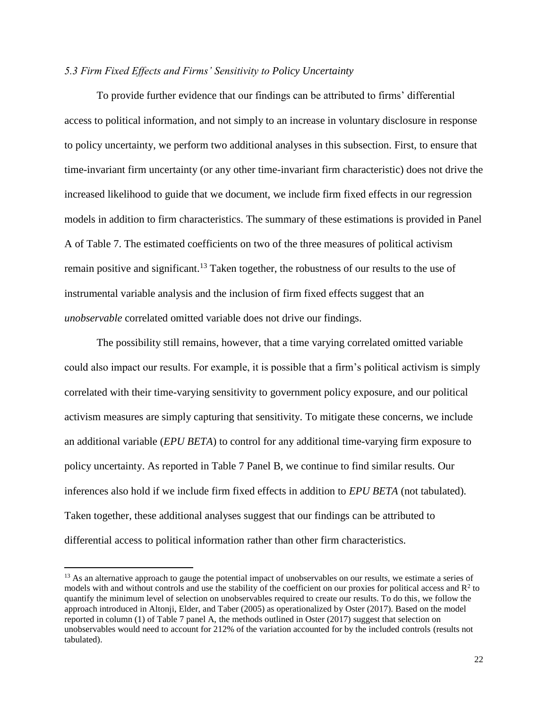# *5.3 Firm Fixed Effects and Firms' Sensitivity to Policy Uncertainty*

To provide further evidence that our findings can be attributed to firms' differential access to political information, and not simply to an increase in voluntary disclosure in response to policy uncertainty, we perform two additional analyses in this subsection. First, to ensure that time-invariant firm uncertainty (or any other time-invariant firm characteristic) does not drive the increased likelihood to guide that we document, we include firm fixed effects in our regression models in addition to firm characteristics. The summary of these estimations is provided in Panel A of Table 7. The estimated coefficients on two of the three measures of political activism remain positive and significant.<sup>13</sup> Taken together, the robustness of our results to the use of instrumental variable analysis and the inclusion of firm fixed effects suggest that an *unobservable* correlated omitted variable does not drive our findings.

The possibility still remains, however, that a time varying correlated omitted variable could also impact our results. For example, it is possible that a firm's political activism is simply correlated with their time-varying sensitivity to government policy exposure, and our political activism measures are simply capturing that sensitivity. To mitigate these concerns, we include an additional variable (*EPU BETA*) to control for any additional time-varying firm exposure to policy uncertainty. As reported in Table 7 Panel B, we continue to find similar results. Our inferences also hold if we include firm fixed effects in addition to *EPU BETA* (not tabulated). Taken together, these additional analyses suggest that our findings can be attributed to differential access to political information rather than other firm characteristics.

 $<sup>13</sup>$  As an alternative approach to gauge the potential impact of unobservables on our results, we estimate a series of</sup> models with and without controls and use the stability of the coefficient on our proxies for political access and  $\mathbb{R}^2$  to quantify the minimum level of selection on unobservables required to create our results. To do this, we follow the approach introduced in Altonji, Elder, and Taber (2005) as operationalized by Oster (2017). Based on the model reported in column (1) of Table 7 panel A, the methods outlined in Oster (2017) suggest that selection on unobservables would need to account for 212% of the variation accounted for by the included controls (results not tabulated).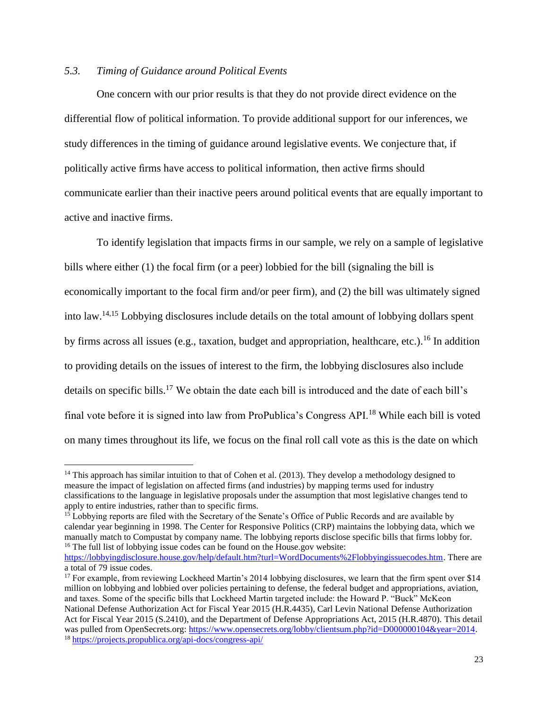# *5.3. Timing of Guidance around Political Events*

One concern with our prior results is that they do not provide direct evidence on the differential flow of political information. To provide additional support for our inferences, we study differences in the timing of guidance around legislative events. We conjecture that, if politically active firms have access to political information, then active firms should communicate earlier than their inactive peers around political events that are equally important to active and inactive firms.

To identify legislation that impacts firms in our sample, we rely on a sample of legislative bills where either (1) the focal firm (or a peer) lobbied for the bill (signaling the bill is economically important to the focal firm and/or peer firm), and (2) the bill was ultimately signed into law. 14,15 Lobbying disclosures include details on the total amount of lobbying dollars spent by firms across all issues (e.g., taxation, budget and appropriation, healthcare, etc.).<sup>16</sup> In addition to providing details on the issues of interest to the firm, the lobbying disclosures also include details on specific bills.<sup>17</sup> We obtain the date each bill is introduced and the date of each bill's final vote before it is signed into law from ProPublica's Congress API.<sup>18</sup> While each bill is voted on many times throughout its life, we focus on the final roll call vote as this is the date on which

<sup>&</sup>lt;sup>14</sup> This approach has similar intuition to that of Cohen et al. (2013). They develop a methodology designed to measure the impact of legislation on affected firms (and industries) by mapping terms used for industry classifications to the language in legislative proposals under the assumption that most legislative changes tend to apply to entire industries, rather than to specific firms.

<sup>&</sup>lt;sup>15</sup> Lobbying reports are filed with the Secretary of the Senate's Office of Public Records and are available by calendar year beginning in 1998. The Center for Responsive Politics (CRP) maintains the lobbying data, which we manually match to Compustat by company name. The lobbying reports disclose specific bills that firms lobby for. <sup>16</sup> The full list of lobbying issue codes can be found on the House.gov website: [https://lobbyingdisclosure.house.gov/help/default.htm?turl=WordDocuments%2Flobbyingissuecodes.htm.](https://lobbyingdisclosure.house.gov/help/default.htm?turl=WordDocuments%2Flobbyingissuecodes.htm) There are

a total of 79 issue codes.

<sup>&</sup>lt;sup>17</sup> For example, from reviewing Lockheed Martin's 2014 lobbying disclosures, we learn that the firm spent over \$14 million on lobbying and lobbied over policies pertaining to defense, the federal budget and appropriations, aviation, and taxes. Some of the specific bills that Lockheed Martin targeted include: the Howard P. "Buck" McKeon National Defense Authorization Act for Fiscal Year 2015 (H.R.4435), Carl Levin National Defense Authorization Act for Fiscal Year 2015 (S.2410), and the Department of Defense Appropriations Act, 2015 (H.R.4870). This detail was pulled from OpenSecrets.org: [https://www.opensecrets.org/lobby/clientsum.php?id=D000000104&year=2014.](https://www.opensecrets.org/lobby/clientsum.php?id=D000000104&year=2014) <sup>18</sup> <https://projects.propublica.org/api-docs/congress-api/>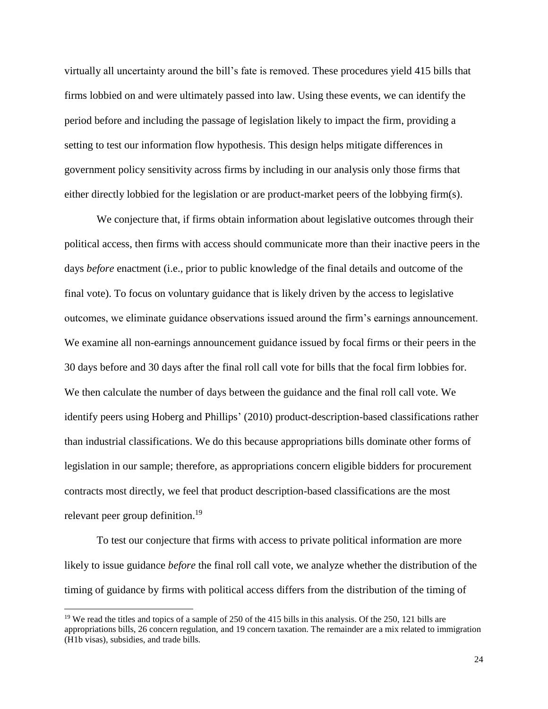virtually all uncertainty around the bill's fate is removed. These procedures yield 415 bills that firms lobbied on and were ultimately passed into law. Using these events, we can identify the period before and including the passage of legislation likely to impact the firm, providing a setting to test our information flow hypothesis. This design helps mitigate differences in government policy sensitivity across firms by including in our analysis only those firms that either directly lobbied for the legislation or are product-market peers of the lobbying firm(s).

We conjecture that, if firms obtain information about legislative outcomes through their political access, then firms with access should communicate more than their inactive peers in the days *before* enactment (i.e., prior to public knowledge of the final details and outcome of the final vote). To focus on voluntary guidance that is likely driven by the access to legislative outcomes, we eliminate guidance observations issued around the firm's earnings announcement. We examine all non-earnings announcement guidance issued by focal firms or their peers in the 30 days before and 30 days after the final roll call vote for bills that the focal firm lobbies for. We then calculate the number of days between the guidance and the final roll call vote. We identify peers using Hoberg and Phillips' (2010) product-description-based classifications rather than industrial classifications. We do this because appropriations bills dominate other forms of legislation in our sample; therefore, as appropriations concern eligible bidders for procurement contracts most directly, we feel that product description-based classifications are the most relevant peer group definition.<sup>19</sup>

To test our conjecture that firms with access to private political information are more likely to issue guidance *before* the final roll call vote, we analyze whether the distribution of the timing of guidance by firms with political access differs from the distribution of the timing of

<sup>&</sup>lt;sup>19</sup> We read the titles and topics of a sample of 250 of the 415 bills in this analysis. Of the 250, 121 bills are appropriations bills, 26 concern regulation, and 19 concern taxation. The remainder are a mix related to immigration (H1b visas), subsidies, and trade bills.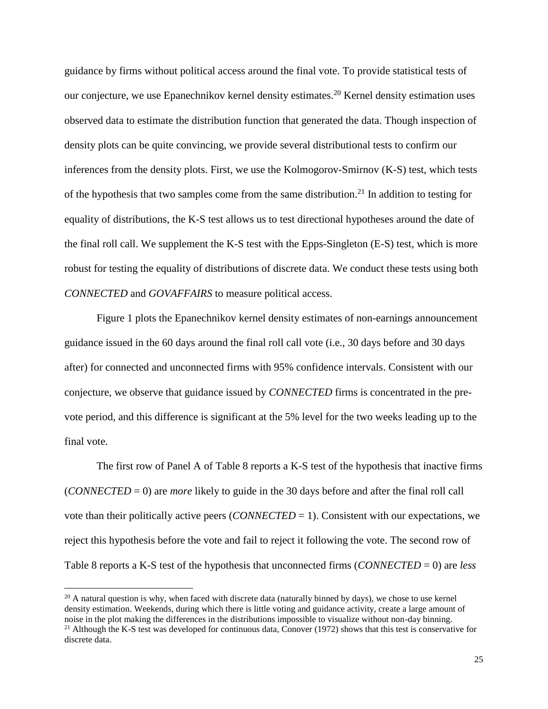guidance by firms without political access around the final vote. To provide statistical tests of our conjecture, we use Epanechnikov kernel density estimates. <sup>20</sup> Kernel density estimation uses observed data to estimate the distribution function that generated the data. Though inspection of density plots can be quite convincing, we provide several distributional tests to confirm our inferences from the density plots. First, we use the Kolmogorov-Smirnov (K-S) test, which tests of the hypothesis that two samples come from the same distribution.<sup>21</sup> In addition to testing for equality of distributions, the K-S test allows us to test directional hypotheses around the date of the final roll call. We supplement the K-S test with the Epps-Singleton (E-S) test, which is more robust for testing the equality of distributions of discrete data. We conduct these tests using both *CONNECTED* and *GOVAFFAIRS* to measure political access.

Figure 1 plots the Epanechnikov kernel density estimates of non-earnings announcement guidance issued in the 60 days around the final roll call vote (i.e., 30 days before and 30 days after) for connected and unconnected firms with 95% confidence intervals. Consistent with our conjecture, we observe that guidance issued by *CONNECTED* firms is concentrated in the prevote period, and this difference is significant at the 5% level for the two weeks leading up to the final vote.

The first row of Panel A of Table 8 reports a K-S test of the hypothesis that inactive firms (*CONNECTED* = 0) are *more* likely to guide in the 30 days before and after the final roll call vote than their politically active peers (*CONNECTED* = 1). Consistent with our expectations, we reject this hypothesis before the vote and fail to reject it following the vote. The second row of Table 8 reports a K-S test of the hypothesis that unconnected firms (*CONNECTED* = 0) are *less* 

 $20$  A natural question is why, when faced with discrete data (naturally binned by days), we chose to use kernel density estimation. Weekends, during which there is little voting and guidance activity, create a large amount of noise in the plot making the differences in the distributions impossible to visualize without non-day binning. <sup>21</sup> Although the K-S test was developed for continuous data, Conover (1972) shows that this test is conservative for discrete data.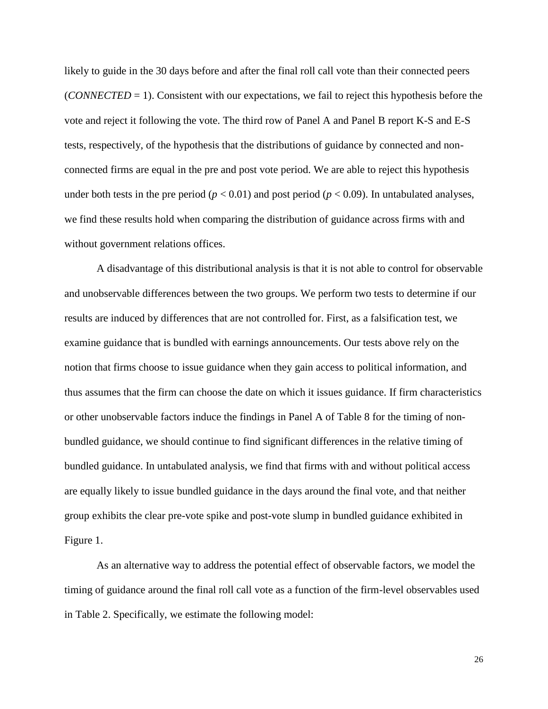likely to guide in the 30 days before and after the final roll call vote than their connected peers (*CONNECTED* = 1). Consistent with our expectations, we fail to reject this hypothesis before the vote and reject it following the vote. The third row of Panel A and Panel B report K-S and E-S tests, respectively, of the hypothesis that the distributions of guidance by connected and nonconnected firms are equal in the pre and post vote period. We are able to reject this hypothesis under both tests in the pre period ( $p < 0.01$ ) and post period ( $p < 0.09$ ). In untabulated analyses, we find these results hold when comparing the distribution of guidance across firms with and without government relations offices.

A disadvantage of this distributional analysis is that it is not able to control for observable and unobservable differences between the two groups. We perform two tests to determine if our results are induced by differences that are not controlled for. First, as a falsification test, we examine guidance that is bundled with earnings announcements. Our tests above rely on the notion that firms choose to issue guidance when they gain access to political information, and thus assumes that the firm can choose the date on which it issues guidance. If firm characteristics or other unobservable factors induce the findings in Panel A of Table 8 for the timing of nonbundled guidance, we should continue to find significant differences in the relative timing of bundled guidance. In untabulated analysis, we find that firms with and without political access are equally likely to issue bundled guidance in the days around the final vote, and that neither group exhibits the clear pre-vote spike and post-vote slump in bundled guidance exhibited in Figure 1.

As an alternative way to address the potential effect of observable factors, we model the timing of guidance around the final roll call vote as a function of the firm-level observables used in Table 2. Specifically, we estimate the following model: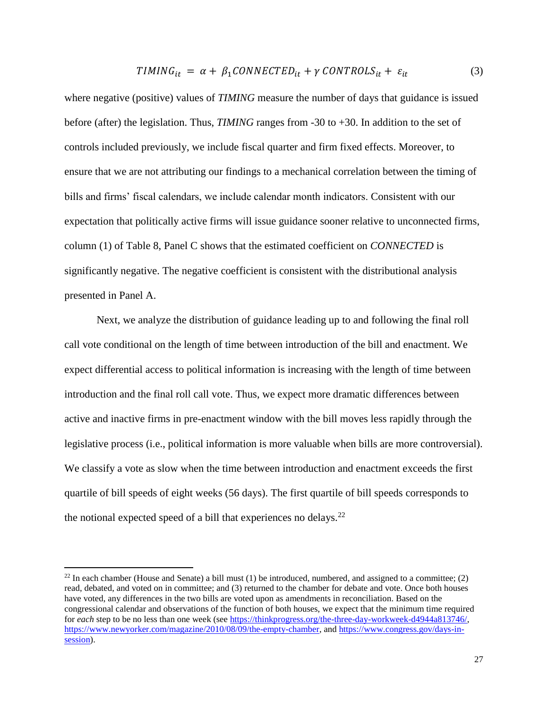$$
TIMING_{it} = \alpha + \beta_1 CONNECTED_{it} + \gamma CONTROLS_{it} + \varepsilon_{it}
$$
\n(3)

where negative (positive) values of *TIMING* measure the number of days that guidance is issued before (after) the legislation. Thus, *TIMING* ranges from -30 to +30. In addition to the set of controls included previously, we include fiscal quarter and firm fixed effects. Moreover, to ensure that we are not attributing our findings to a mechanical correlation between the timing of bills and firms' fiscal calendars, we include calendar month indicators. Consistent with our expectation that politically active firms will issue guidance sooner relative to unconnected firms, column (1) of Table 8, Panel C shows that the estimated coefficient on *CONNECTED* is significantly negative. The negative coefficient is consistent with the distributional analysis presented in Panel A.

Next, we analyze the distribution of guidance leading up to and following the final roll call vote conditional on the length of time between introduction of the bill and enactment. We expect differential access to political information is increasing with the length of time between introduction and the final roll call vote. Thus, we expect more dramatic differences between active and inactive firms in pre-enactment window with the bill moves less rapidly through the legislative process (i.e., political information is more valuable when bills are more controversial). We classify a vote as slow when the time between introduction and enactment exceeds the first quartile of bill speeds of eight weeks (56 days). The first quartile of bill speeds corresponds to the notional expected speed of a bill that experiences no delays.<sup>22</sup>

<sup>&</sup>lt;sup>22</sup> In each chamber (House and Senate) a bill must  $(1)$  be introduced, numbered, and assigned to a committee;  $(2)$ read, debated, and voted on in committee; and (3) returned to the chamber for debate and vote. Once both houses have voted, any differences in the two bills are voted upon as amendments in reconciliation. Based on the congressional calendar and observations of the function of both houses, we expect that the minimum time required for *each* step to be no less than one week (see [https://thinkprogress.org/the-three-day-workweek-d4944a813746/,](https://thinkprogress.org/the-three-day-workweek-d4944a813746/) [https://www.newyorker.com/magazine/2010/08/09/the-empty-chamber,](https://www.newyorker.com/magazine/2010/08/09/the-empty-chamber) and [https://www.congress.gov/days-in](https://www.congress.gov/days-in-session)[session\)](https://www.congress.gov/days-in-session).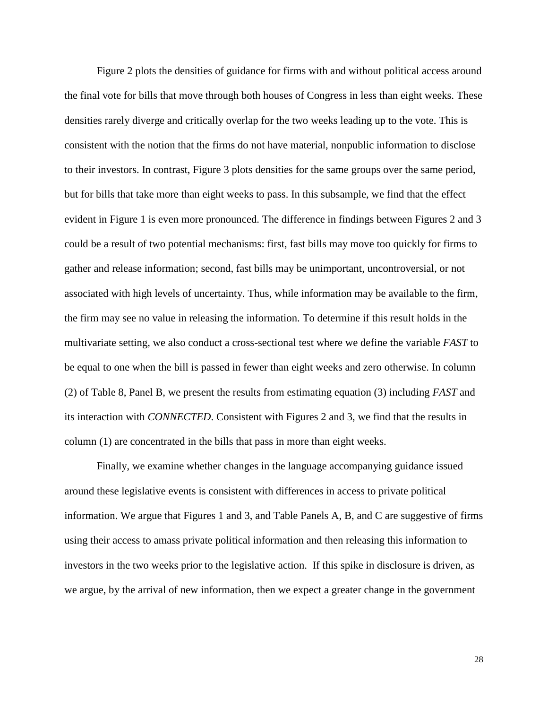Figure 2 plots the densities of guidance for firms with and without political access around the final vote for bills that move through both houses of Congress in less than eight weeks. These densities rarely diverge and critically overlap for the two weeks leading up to the vote. This is consistent with the notion that the firms do not have material, nonpublic information to disclose to their investors. In contrast, Figure 3 plots densities for the same groups over the same period, but for bills that take more than eight weeks to pass. In this subsample, we find that the effect evident in Figure 1 is even more pronounced. The difference in findings between Figures 2 and 3 could be a result of two potential mechanisms: first, fast bills may move too quickly for firms to gather and release information; second, fast bills may be unimportant, uncontroversial, or not associated with high levels of uncertainty. Thus, while information may be available to the firm, the firm may see no value in releasing the information. To determine if this result holds in the multivariate setting, we also conduct a cross-sectional test where we define the variable *FAST* to be equal to one when the bill is passed in fewer than eight weeks and zero otherwise. In column (2) of Table 8, Panel B, we present the results from estimating equation (3) including *FAST* and its interaction with *CONNECTED*. Consistent with Figures 2 and 3, we find that the results in column (1) are concentrated in the bills that pass in more than eight weeks.

Finally, we examine whether changes in the language accompanying guidance issued around these legislative events is consistent with differences in access to private political information. We argue that Figures 1 and 3, and Table Panels A, B, and C are suggestive of firms using their access to amass private political information and then releasing this information to investors in the two weeks prior to the legislative action. If this spike in disclosure is driven, as we argue, by the arrival of new information, then we expect a greater change in the government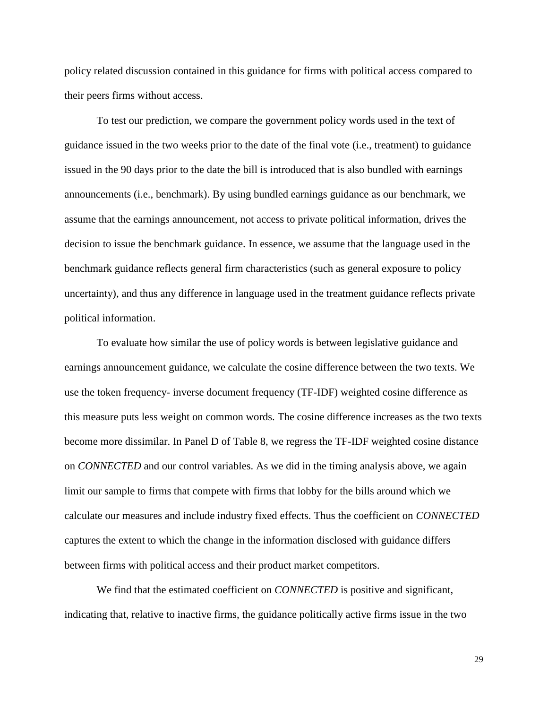policy related discussion contained in this guidance for firms with political access compared to their peers firms without access.

To test our prediction, we compare the government policy words used in the text of guidance issued in the two weeks prior to the date of the final vote (i.e., treatment) to guidance issued in the 90 days prior to the date the bill is introduced that is also bundled with earnings announcements (i.e., benchmark). By using bundled earnings guidance as our benchmark, we assume that the earnings announcement, not access to private political information, drives the decision to issue the benchmark guidance. In essence, we assume that the language used in the benchmark guidance reflects general firm characteristics (such as general exposure to policy uncertainty), and thus any difference in language used in the treatment guidance reflects private political information.

To evaluate how similar the use of policy words is between legislative guidance and earnings announcement guidance, we calculate the cosine difference between the two texts. We use the token frequency- inverse document frequency (TF-IDF) weighted cosine difference as this measure puts less weight on common words. The cosine difference increases as the two texts become more dissimilar. In Panel D of Table 8, we regress the TF-IDF weighted cosine distance on *CONNECTED* and our control variables. As we did in the timing analysis above, we again limit our sample to firms that compete with firms that lobby for the bills around which we calculate our measures and include industry fixed effects. Thus the coefficient on *CONNECTED* captures the extent to which the change in the information disclosed with guidance differs between firms with political access and their product market competitors.

We find that the estimated coefficient on *CONNECTED* is positive and significant, indicating that, relative to inactive firms, the guidance politically active firms issue in the two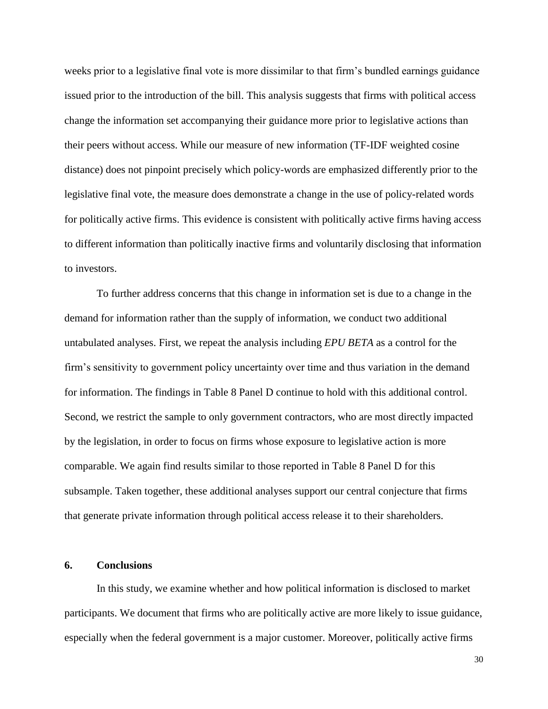weeks prior to a legislative final vote is more dissimilar to that firm's bundled earnings guidance issued prior to the introduction of the bill. This analysis suggests that firms with political access change the information set accompanying their guidance more prior to legislative actions than their peers without access. While our measure of new information (TF-IDF weighted cosine distance) does not pinpoint precisely which policy-words are emphasized differently prior to the legislative final vote, the measure does demonstrate a change in the use of policy-related words for politically active firms. This evidence is consistent with politically active firms having access to different information than politically inactive firms and voluntarily disclosing that information to investors.

To further address concerns that this change in information set is due to a change in the demand for information rather than the supply of information, we conduct two additional untabulated analyses. First, we repeat the analysis including *EPU BETA* as a control for the firm's sensitivity to government policy uncertainty over time and thus variation in the demand for information. The findings in Table 8 Panel D continue to hold with this additional control. Second, we restrict the sample to only government contractors, who are most directly impacted by the legislation, in order to focus on firms whose exposure to legislative action is more comparable. We again find results similar to those reported in Table 8 Panel D for this subsample. Taken together, these additional analyses support our central conjecture that firms that generate private information through political access release it to their shareholders.

### **6. Conclusions**

In this study, we examine whether and how political information is disclosed to market participants. We document that firms who are politically active are more likely to issue guidance, especially when the federal government is a major customer. Moreover, politically active firms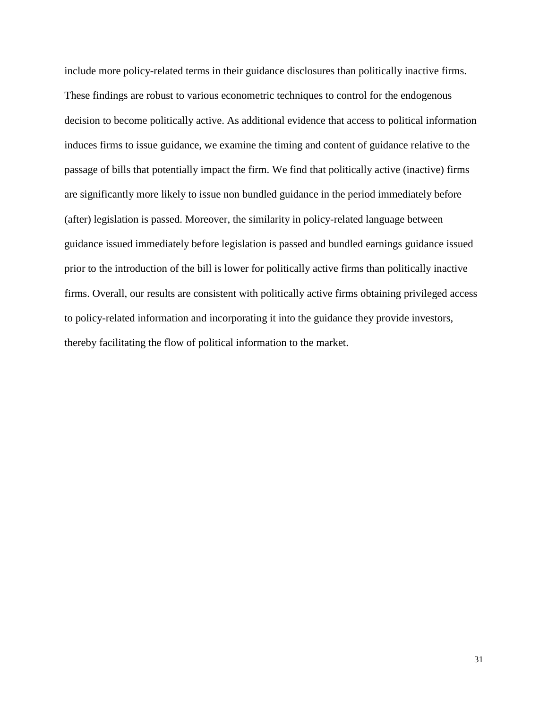include more policy-related terms in their guidance disclosures than politically inactive firms. These findings are robust to various econometric techniques to control for the endogenous decision to become politically active. As additional evidence that access to political information induces firms to issue guidance, we examine the timing and content of guidance relative to the passage of bills that potentially impact the firm. We find that politically active (inactive) firms are significantly more likely to issue non bundled guidance in the period immediately before (after) legislation is passed. Moreover, the similarity in policy-related language between guidance issued immediately before legislation is passed and bundled earnings guidance issued prior to the introduction of the bill is lower for politically active firms than politically inactive firms. Overall, our results are consistent with politically active firms obtaining privileged access to policy-related information and incorporating it into the guidance they provide investors, thereby facilitating the flow of political information to the market.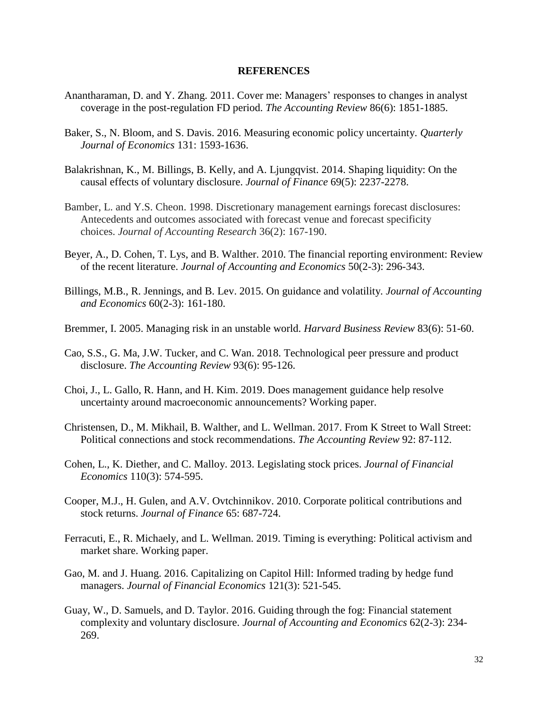### **REFERENCES**

- Anantharaman, D. and Y. Zhang. 2011. Cover me: Managers' responses to changes in analyst coverage in the post-regulation FD period. *The Accounting Review* 86(6): 1851-1885.
- Baker, S., N. Bloom, and S. Davis. 2016. Measuring economic policy uncertainty. *Quarterly Journal of Economics* 131: 1593-1636.
- Balakrishnan, K., M. Billings, B. Kelly, and A. Ljungqvist. 2014. Shaping liquidity: On the causal effects of voluntary disclosure. *Journal of Finance* 69(5): 2237-2278.
- Bamber, L. and Y.S. Cheon. 1998. Discretionary management earnings forecast disclosures: Antecedents and outcomes associated with forecast venue and forecast specificity choices. *Journal of Accounting Research* 36(2): 167-190.
- Beyer, A., D. Cohen, T. Lys, and B. Walther. 2010. The financial reporting environment: Review of the recent literature. *Journal of Accounting and Economics* 50(2-3): 296-343.
- Billings, M.B., R. Jennings, and B. Lev. 2015. On guidance and volatility. *Journal of Accounting and Economics* 60(2-3): 161-180.
- Bremmer, I. 2005. Managing risk in an unstable world. *Harvard Business Review* 83(6): 51-60.
- Cao, S.S., G. Ma, J.W. Tucker, and C. Wan. 2018. Technological peer pressure and product disclosure. *The Accounting Review* 93(6): 95-126.
- Choi, J., L. Gallo, R. Hann, and H. Kim. 2019. Does management guidance help resolve uncertainty around macroeconomic announcements? Working paper.
- Christensen, D., M. Mikhail, B. Walther, and L. Wellman. 2017. From K Street to Wall Street: Political connections and stock recommendations. *The Accounting Review* 92: 87-112.
- Cohen, L., K. Diether, and C. Malloy. 2013. Legislating stock prices. *Journal of Financial Economics* 110(3): 574-595.
- Cooper, M.J., H. Gulen, and A.V. Ovtchinnikov. 2010. Corporate political contributions and stock returns. *Journal of Finance* 65: 687-724.
- Ferracuti, E., R. Michaely, and L. Wellman. 2019. Timing is everything: Political activism and market share. Working paper.
- Gao, M. and J. Huang. 2016. Capitalizing on Capitol Hill: Informed trading by hedge fund managers. *Journal of Financial Economics* 121(3): 521-545.
- Guay, W., D. Samuels, and D. Taylor. 2016. Guiding through the fog: Financial statement complexity and voluntary disclosure. *Journal of Accounting and Economics* 62(2-3): 234- 269.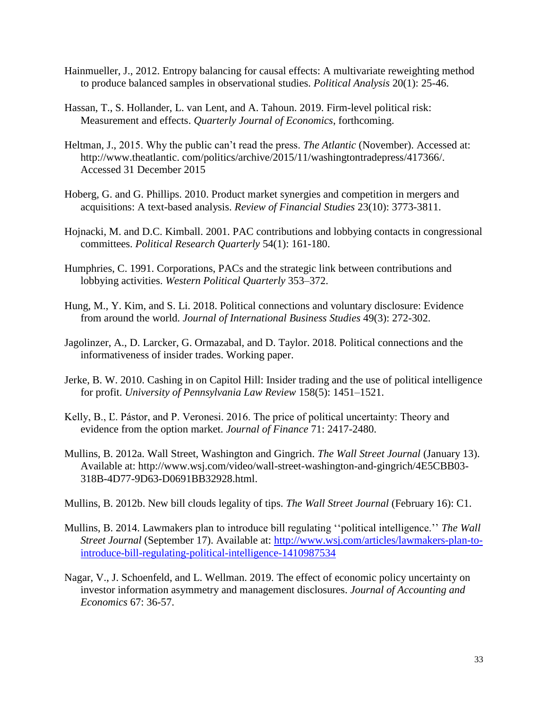- Hainmueller, J., 2012. Entropy balancing for causal effects: A multivariate reweighting method to produce balanced samples in observational studies. *Political Analysis* 20(1): 25-46.
- Hassan, T., S. Hollander, L. van Lent, and A. Tahoun. 2019. Firm-level political risk: Measurement and effects. *Quarterly Journal of Economics*, forthcoming.
- Heltman, J., 2015. Why the public can't read the press. *The Atlantic* (November). Accessed at: http://www.theatlantic. com/politics/archive/2015/11/washingtontradepress/417366/. Accessed 31 December 2015
- Hoberg, G. and G. Phillips. 2010. Product market synergies and competition in mergers and acquisitions: A text-based analysis. *Review of Financial Studies* 23(10): 3773-3811.
- Hojnacki, M. and D.C. Kimball. 2001. PAC contributions and lobbying contacts in congressional committees. *Political Research Quarterly* 54(1): 161-180.
- Humphries, C. 1991. Corporations, PACs and the strategic link between contributions and lobbying activities. *Western Political Quarterly* 353–372.
- Hung, M., Y. Kim, and S. Li. 2018. Political connections and voluntary disclosure: Evidence from around the world. *Journal of International Business Studies* 49(3): 272-302.
- Jagolinzer, A., D. Larcker, G. Ormazabal, and D. Taylor. 2018. Political connections and the informativeness of insider trades. Working paper.
- Jerke, B. W. 2010. Cashing in on Capitol Hill: Insider trading and the use of political intelligence for profit. *University of Pennsylvania Law Review* 158(5): 1451–1521.
- Kelly, B., Ľ. Pástor, and P. Veronesi. 2016. The price of political uncertainty: Theory and evidence from the option market. *Journal of Finance* 71: 2417-2480.
- Mullins, B. 2012a. Wall Street, Washington and Gingrich. *The Wall Street Journal* (January 13). Available at: http://www.wsj.com/video/wall-street-washington-and-gingrich/4E5CBB03- 318B-4D77-9D63-D0691BB32928.html.
- Mullins, B. 2012b. New bill clouds legality of tips. *The Wall Street Journal* (February 16): C1.
- Mullins, B. 2014. Lawmakers plan to introduce bill regulating ''political intelligence.'' *The Wall Street Journal* (September 17). Available at: [http://www.wsj.com/articles/lawmakers-plan-to](http://www.wsj.com/articles/lawmakers-plan-to-introduce-bill-regulating-political-intelligence-1410987534)[introduce-bill-regulating-political-intelligence-1410987534](http://www.wsj.com/articles/lawmakers-plan-to-introduce-bill-regulating-political-intelligence-1410987534)
- Nagar, V., J. Schoenfeld, and L. Wellman. 2019. The effect of economic policy uncertainty on investor information asymmetry and management disclosures. *Journal of Accounting and Economics* 67: 36-57.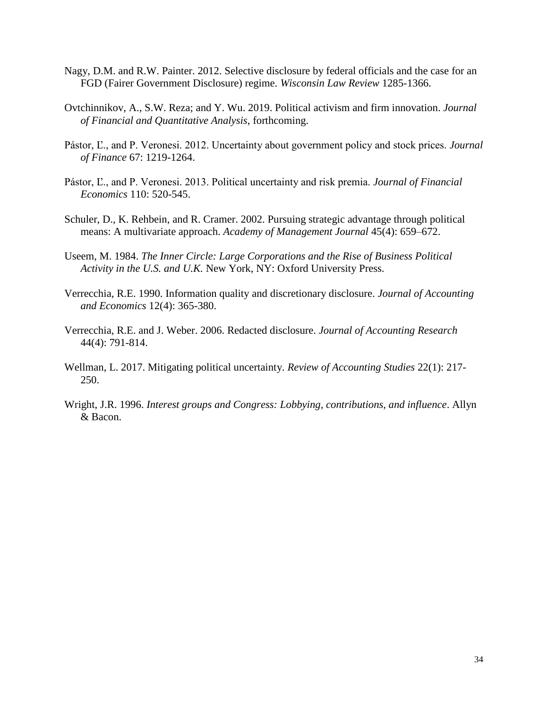- Nagy, D.M. and R.W. Painter. 2012. Selective disclosure by federal officials and the case for an FGD (Fairer Government Disclosure) regime. *Wisconsin Law Review* 1285-1366.
- Ovtchinnikov, A., S.W. Reza; and Y. Wu. 2019. Political activism and firm innovation. *Journal of Financial and Quantitative Analysis*, forthcoming.
- Pástor, Ľ., and P. Veronesi. 2012. Uncertainty about government policy and stock prices. *Journal of Finance* 67: 1219-1264.
- Pástor, Ľ., and P. Veronesi. 2013. Political uncertainty and risk premia. *Journal of Financial Economics* 110: 520-545.
- Schuler, D., K. Rehbein, and R. Cramer. 2002. Pursuing strategic advantage through political means: A multivariate approach. *Academy of Management Journal* 45(4): 659–672.
- Useem, M. 1984. *The Inner Circle: Large Corporations and the Rise of Business Political Activity in the U.S. and U.K.* New York, NY: Oxford University Press.
- Verrecchia, R.E. 1990. Information quality and discretionary disclosure. *Journal of Accounting and Economics* 12(4): 365-380.
- Verrecchia, R.E. and J. Weber. 2006. Redacted disclosure. *Journal of Accounting Research*  44(4): 791-814.
- Wellman, L. 2017. Mitigating political uncertainty. *Review of Accounting Studies* 22(1): 217- 250.
- Wright, J.R. 1996. *Interest groups and Congress: Lobbying, contributions, and influence*. Allyn & Bacon.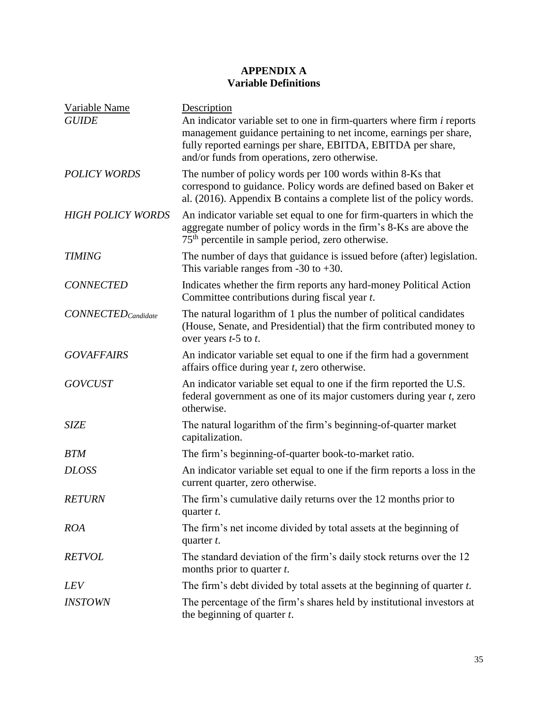# **APPENDIX A Variable Definitions**

| Variable Name                    | Description                                                                                                                                                                                                                                                         |
|----------------------------------|---------------------------------------------------------------------------------------------------------------------------------------------------------------------------------------------------------------------------------------------------------------------|
| <b>GUIDE</b>                     | An indicator variable set to one in firm-quarters where firm <i>i</i> reports<br>management guidance pertaining to net income, earnings per share,<br>fully reported earnings per share, EBITDA, EBITDA per share,<br>and/or funds from operations, zero otherwise. |
| <b>POLICY WORDS</b>              | The number of policy words per 100 words within 8-Ks that<br>correspond to guidance. Policy words are defined based on Baker et<br>al. (2016). Appendix B contains a complete list of the policy words.                                                             |
| <b>HIGH POLICY WORDS</b>         | An indicator variable set equal to one for firm-quarters in which the<br>aggregate number of policy words in the firm's 8-Ks are above the<br>$75th$ percentile in sample period, zero otherwise.                                                                   |
| <b>TIMING</b>                    | The number of days that guidance is issued before (after) legislation.<br>This variable ranges from $-30$ to $+30$ .                                                                                                                                                |
| <b>CONNECTED</b>                 | Indicates whether the firm reports any hard-money Political Action<br>Committee contributions during fiscal year t.                                                                                                                                                 |
| $CONNECTED_{\textit{Candidate}}$ | The natural logarithm of 1 plus the number of political candidates<br>(House, Senate, and Presidential) that the firm contributed money to<br>over years $t-5$ to $t$ .                                                                                             |
| <b>GOVAFFAIRS</b>                | An indicator variable set equal to one if the firm had a government<br>affairs office during year <i>t</i> , zero otherwise.                                                                                                                                        |
| <b>GOVCUST</b>                   | An indicator variable set equal to one if the firm reported the U.S.<br>federal government as one of its major customers during year $t$ , zero<br>otherwise.                                                                                                       |
| <b>SIZE</b>                      | The natural logarithm of the firm's beginning-of-quarter market<br>capitalization.                                                                                                                                                                                  |
| <b>BTM</b>                       | The firm's beginning-of-quarter book-to-market ratio.                                                                                                                                                                                                               |
| <b>DLOSS</b>                     | An indicator variable set equal to one if the firm reports a loss in the<br>current quarter, zero otherwise.                                                                                                                                                        |
| <b>RETURN</b>                    | The firm's cumulative daily returns over the 12 months prior to<br>quarter t.                                                                                                                                                                                       |
| <b>ROA</b>                       | The firm's net income divided by total assets at the beginning of<br>quarter t.                                                                                                                                                                                     |
| <b>RETVOL</b>                    | The standard deviation of the firm's daily stock returns over the 12<br>months prior to quarter $t$ .                                                                                                                                                               |
| <i>LEV</i>                       | The firm's debt divided by total assets at the beginning of quarter t.                                                                                                                                                                                              |
| <i><b>INSTOWN</b></i>            | The percentage of the firm's shares held by institutional investors at<br>the beginning of quarter $t$ .                                                                                                                                                            |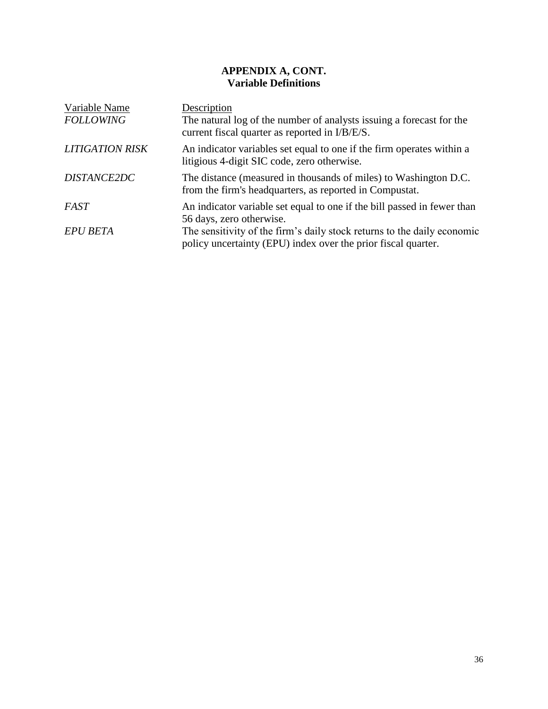# **APPENDIX A, CONT. Variable Definitions**

| Variable Name          | Description                                                                                                                              |
|------------------------|------------------------------------------------------------------------------------------------------------------------------------------|
| <b>FOLLOWING</b>       | The natural log of the number of analysts issuing a forecast for the<br>current fiscal quarter as reported in I/B/E/S.                   |
| <b>LITIGATION RISK</b> | An indicator variables set equal to one if the firm operates within a<br>litigious 4-digit SIC code, zero otherwise.                     |
| <b>DISTANCE2DC</b>     | The distance (measured in thousands of miles) to Washington D.C.<br>from the firm's headquarters, as reported in Compustat.              |
| FAST                   | An indicator variable set equal to one if the bill passed in fewer than<br>56 days, zero otherwise.                                      |
| <b>EPU BETA</b>        | The sensitivity of the firm's daily stock returns to the daily economic<br>policy uncertainty (EPU) index over the prior fiscal quarter. |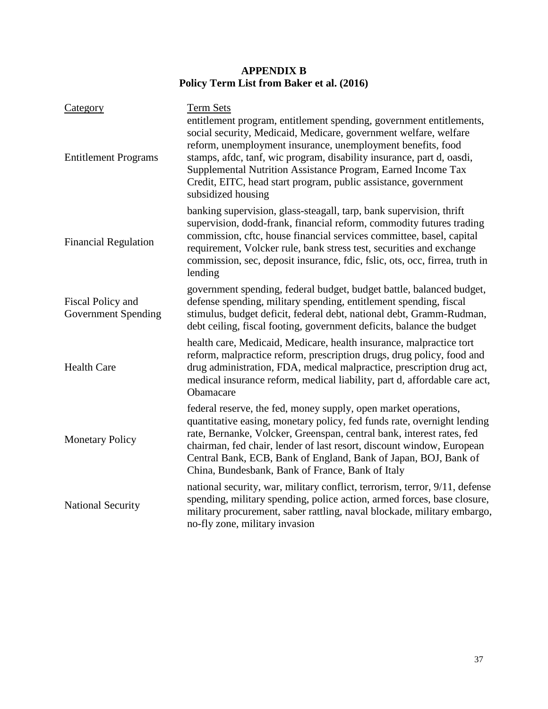# **APPENDIX B Policy Term List from Baker et al. (2016)**

| Category                                 | <b>Term Sets</b>                                                                                                                                                                                                                                                                                                                                                                                                                         |
|------------------------------------------|------------------------------------------------------------------------------------------------------------------------------------------------------------------------------------------------------------------------------------------------------------------------------------------------------------------------------------------------------------------------------------------------------------------------------------------|
| <b>Entitlement Programs</b>              | entitlement program, entitlement spending, government entitlements,<br>social security, Medicaid, Medicare, government welfare, welfare<br>reform, unemployment insurance, unemployment benefits, food<br>stamps, afdc, tanf, wic program, disability insurance, part d, oasdi,<br>Supplemental Nutrition Assistance Program, Earned Income Tax<br>Credit, EITC, head start program, public assistance, government<br>subsidized housing |
| <b>Financial Regulation</b>              | banking supervision, glass-steagall, tarp, bank supervision, thrift<br>supervision, dodd-frank, financial reform, commodity futures trading<br>commission, cftc, house financial services committee, basel, capital<br>requirement, Volcker rule, bank stress test, securities and exchange<br>commission, sec, deposit insurance, fdic, fslic, ots, occ, firrea, truth in<br>lending                                                    |
| Fiscal Policy and<br>Government Spending | government spending, federal budget, budget battle, balanced budget,<br>defense spending, military spending, entitlement spending, fiscal<br>stimulus, budget deficit, federal debt, national debt, Gramm-Rudman,<br>debt ceiling, fiscal footing, government deficits, balance the budget                                                                                                                                               |
| <b>Health Care</b>                       | health care, Medicaid, Medicare, health insurance, malpractice tort<br>reform, malpractice reform, prescription drugs, drug policy, food and<br>drug administration, FDA, medical malpractice, prescription drug act,<br>medical insurance reform, medical liability, part d, affordable care act,<br>Obamacare                                                                                                                          |
| <b>Monetary Policy</b>                   | federal reserve, the fed, money supply, open market operations,<br>quantitative easing, monetary policy, fed funds rate, overnight lending<br>rate, Bernanke, Volcker, Greenspan, central bank, interest rates, fed<br>chairman, fed chair, lender of last resort, discount window, European<br>Central Bank, ECB, Bank of England, Bank of Japan, BOJ, Bank of<br>China, Bundesbank, Bank of France, Bank of Italy                      |
| <b>National Security</b>                 | national security, war, military conflict, terrorism, terror, 9/11, defense<br>spending, military spending, police action, armed forces, base closure,<br>military procurement, saber rattling, naval blockade, military embargo,<br>no-fly zone, military invasion                                                                                                                                                                      |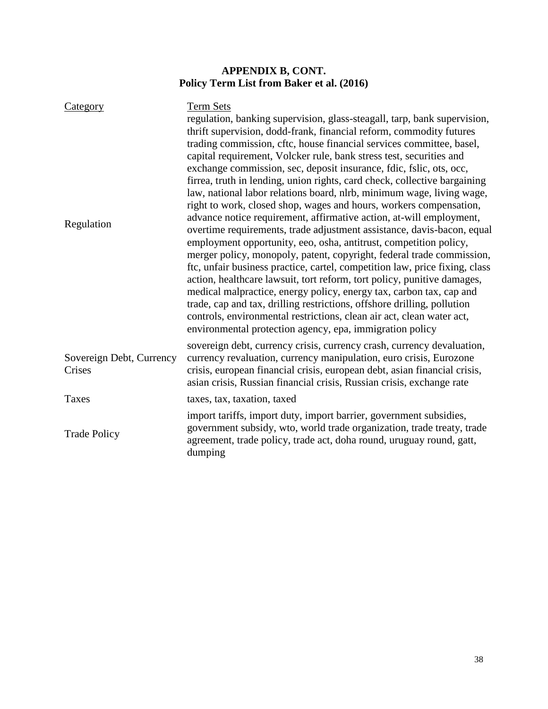# **APPENDIX B, CONT. Policy Term List from Baker et al. (2016)**

| Category<br>Regulation             | <b>Term Sets</b><br>regulation, banking supervision, glass-steagall, tarp, bank supervision,<br>thrift supervision, dodd-frank, financial reform, commodity futures<br>trading commission, cftc, house financial services committee, basel,<br>capital requirement, Volcker rule, bank stress test, securities and<br>exchange commission, sec, deposit insurance, fdic, fslic, ots, occ,<br>firrea, truth in lending, union rights, card check, collective bargaining<br>law, national labor relations board, nlrb, minimum wage, living wage,<br>right to work, closed shop, wages and hours, workers compensation,<br>advance notice requirement, affirmative action, at-will employment,<br>overtime requirements, trade adjustment assistance, davis-bacon, equal<br>employment opportunity, eeo, osha, antitrust, competition policy,<br>merger policy, monopoly, patent, copyright, federal trade commission,<br>ftc, unfair business practice, cartel, competition law, price fixing, class<br>action, healthcare lawsuit, tort reform, tort policy, punitive damages,<br>medical malpractice, energy policy, energy tax, carbon tax, cap and<br>trade, cap and tax, drilling restrictions, offshore drilling, pollution<br>controls, environmental restrictions, clean air act, clean water act,<br>environmental protection agency, epa, immigration policy |
|------------------------------------|-----------------------------------------------------------------------------------------------------------------------------------------------------------------------------------------------------------------------------------------------------------------------------------------------------------------------------------------------------------------------------------------------------------------------------------------------------------------------------------------------------------------------------------------------------------------------------------------------------------------------------------------------------------------------------------------------------------------------------------------------------------------------------------------------------------------------------------------------------------------------------------------------------------------------------------------------------------------------------------------------------------------------------------------------------------------------------------------------------------------------------------------------------------------------------------------------------------------------------------------------------------------------------------------------------------------------------------------------------------------------|
| Sovereign Debt, Currency<br>Crises | sovereign debt, currency crisis, currency crash, currency devaluation,<br>currency revaluation, currency manipulation, euro crisis, Eurozone<br>crisis, european financial crisis, european debt, asian financial crisis,<br>asian crisis, Russian financial crisis, Russian crisis, exchange rate                                                                                                                                                                                                                                                                                                                                                                                                                                                                                                                                                                                                                                                                                                                                                                                                                                                                                                                                                                                                                                                                    |
| Taxes                              | taxes, tax, taxation, taxed                                                                                                                                                                                                                                                                                                                                                                                                                                                                                                                                                                                                                                                                                                                                                                                                                                                                                                                                                                                                                                                                                                                                                                                                                                                                                                                                           |
| <b>Trade Policy</b>                | import tariffs, import duty, import barrier, government subsidies,<br>government subsidy, wto, world trade organization, trade treaty, trade<br>agreement, trade policy, trade act, doha round, uruguay round, gatt,<br>dumping                                                                                                                                                                                                                                                                                                                                                                                                                                                                                                                                                                                                                                                                                                                                                                                                                                                                                                                                                                                                                                                                                                                                       |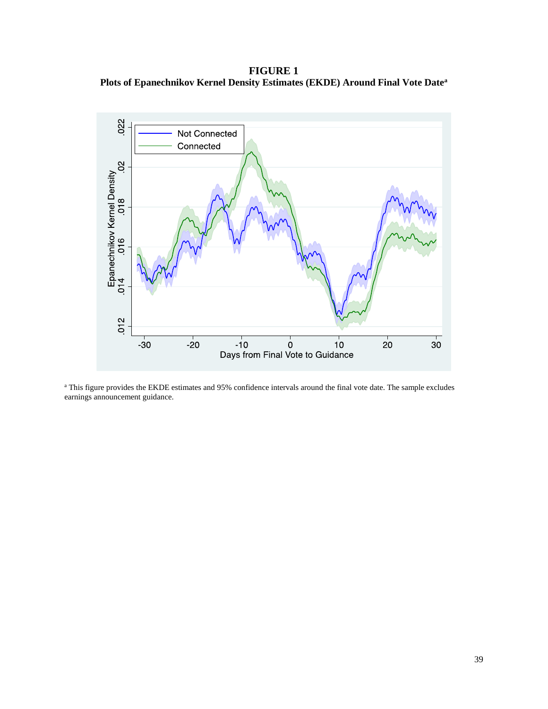**FIGURE 1 Plots of Epanechnikov Kernel Density Estimates (EKDE) Around Final Vote Date<sup>a</sup>**



<sup>a</sup> This figure provides the EKDE estimates and 95% confidence intervals around the final vote date. The sample excludes earnings announcement guidance.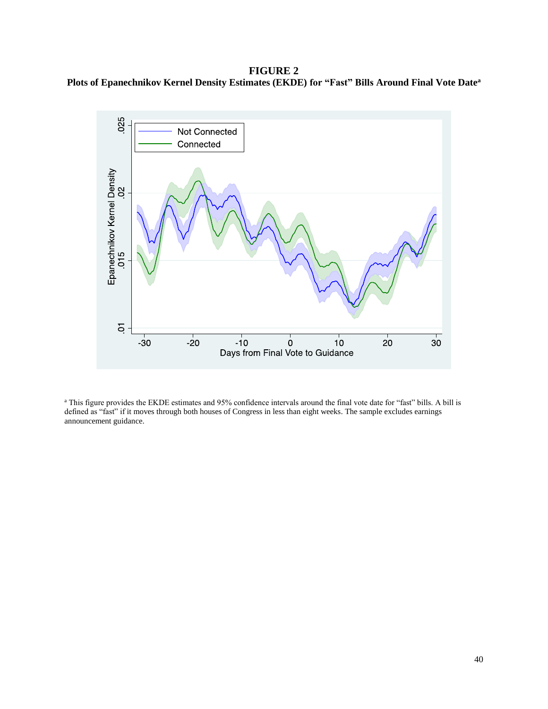**FIGURE 2 Plots of Epanechnikov Kernel Density Estimates (EKDE) for "Fast" Bills Around Final Vote Date<sup>a</sup>**



<sup>a</sup> This figure provides the EKDE estimates and 95% confidence intervals around the final vote date for "fast" bills. A bill is defined as "fast" if it moves through both houses of Congress in less than eight weeks. The sample excludes earnings announcement guidance.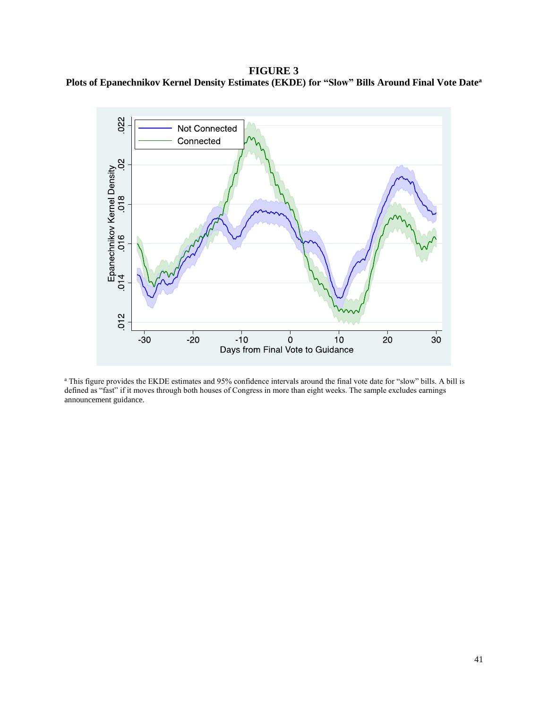**FIGURE 3 Plots of Epanechnikov Kernel Density Estimates (EKDE) for "Slow" Bills Around Final Vote Date<sup>a</sup>**



<sup>a</sup> This figure provides the EKDE estimates and 95% confidence intervals around the final vote date for "slow" bills. A bill is defined as "fast" if it moves through both houses of Congress in more than eight weeks. The sample excludes earnings announcement guidance.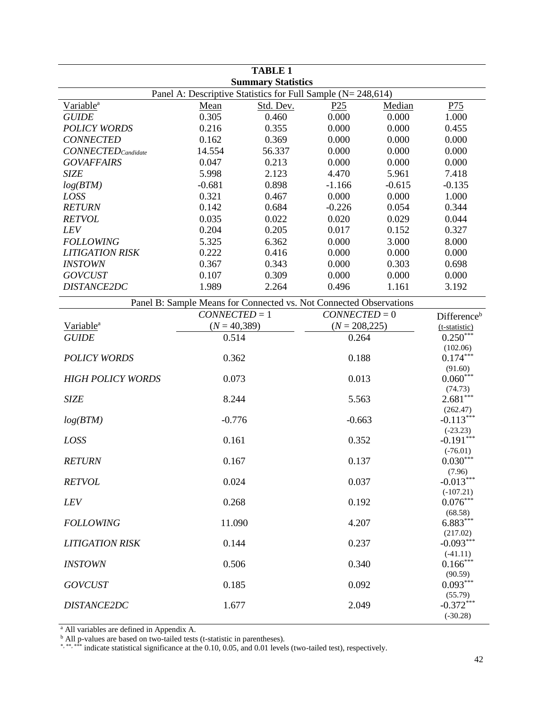| <b>Summary Statistics</b><br>Panel A: Descriptive Statistics for Full Sample (N= 248,614)<br>P75<br>Variable <sup>a</sup><br>Median<br>Mean<br>Std. Dev.<br>P <sub>25</sub><br>0.305<br>0.000<br>1.000<br><b>GUIDE</b><br>0.460<br>0.000<br><b>POLICY WORDS</b><br>0.216<br>0.355<br>0.000<br>0.000<br>0.455<br><b>CONNECTED</b><br>0.162<br>0.369<br>0.000<br>0.000<br>0.000<br>56.337<br>0.000<br>0.000<br>$CONNECTED_{\text{Candidate}}$<br>14.554<br>0.000<br><b>GOVAFFAIRS</b><br>0.047<br>0.213<br>0.000<br>0.000<br>0.000<br>5.998<br><b>SIZE</b><br>2.123<br>4.470<br>5.961<br>7.418<br>$-0.681$<br>0.898<br>$-0.615$<br>$-0.135$<br>log(BTM)<br>$-1.166$<br>0.321<br>LOSS<br>0.467<br>0.000<br>0.000<br>1.000<br><b>RETURN</b><br>0.142<br>0.684<br>0.344<br>$-0.226$<br>0.054<br>0.035<br>0.022<br>0.020<br>0.029<br>0.044<br><b>RETVOL</b><br>0.204<br>0.205<br>0.017<br>0.327<br>LEV<br>0.152<br><b>FOLLOWING</b><br>5.325<br>6.362<br>3.000<br>8.000<br>0.000<br>0.222<br>0.416<br>0.000<br>0.000<br>0.000<br><b>LITIGATION RISK</b><br>0.343<br>0.367<br>0.000<br>0.303<br>0.698<br><b>INSTOWN</b><br>0.309<br><b>GOVCUST</b><br>0.107<br>0.000<br>0.000<br>0.000<br>DISTANCE2DC<br>1.989<br>2.264<br>0.496<br>1.161<br>3.192<br>Panel B: Sample Means for Connected vs. Not Connected Observations<br>$CONNECTED = 1$<br>$CONNECTED = 0$<br>Difference <sup>b</sup><br>$(N = 40,389)$<br>Variable <sup>a</sup><br>$(N = 208, 225)$<br>(t-statistic)<br>$0.250***$<br>0.514<br>0.264<br><b>GUIDE</b><br>(102.06)<br>$0.174***$<br>0.362<br>0.188<br><b>POLICY WORDS</b><br>(91.60)<br>$0.060***$<br>0.073<br>0.013<br><b>HIGH POLICY WORDS</b><br>(74.73)<br>$2.681***$<br>8.244<br>5.563<br><b>SIZE</b><br>(262.47)<br>$-0.113***$<br>$-0.776$<br>$-0.663$<br>log(BTM)<br>$(-23.23)$<br>$-0.191***$<br>0.161<br>0.352<br>LOSS<br>$(-76.01)$<br>$0.030^{\ast\ast\ast}$<br>0.137<br><b>RETURN</b><br>0.167<br>(7.96)<br>$-0.013***$<br>0.024<br>0.037<br><b>RETVOL</b><br>$(-107.21)$<br>$0.076***$<br>0.268<br>0.192<br><b>LEV</b><br>(68.58)<br>$6.883***$<br>4.207<br>11.090<br><b>FOLLOWING</b><br>(217.02)<br>$-0.093***$<br>0.237<br><b>LITIGATION RISK</b><br>0.144<br>$(-41.11)$<br>$0.166***$<br>0.506<br>0.340<br><b>INSTOWN</b><br>(90.59)<br>$0.093***$<br>0.185<br>0.092<br><b>GOVCUST</b><br>(55.79)<br>$-0.372***$<br>DISTANCE2DC<br>2.049<br>1.677 |  | <b>TABLE 1</b> |  |  |            |
|---------------------------------------------------------------------------------------------------------------------------------------------------------------------------------------------------------------------------------------------------------------------------------------------------------------------------------------------------------------------------------------------------------------------------------------------------------------------------------------------------------------------------------------------------------------------------------------------------------------------------------------------------------------------------------------------------------------------------------------------------------------------------------------------------------------------------------------------------------------------------------------------------------------------------------------------------------------------------------------------------------------------------------------------------------------------------------------------------------------------------------------------------------------------------------------------------------------------------------------------------------------------------------------------------------------------------------------------------------------------------------------------------------------------------------------------------------------------------------------------------------------------------------------------------------------------------------------------------------------------------------------------------------------------------------------------------------------------------------------------------------------------------------------------------------------------------------------------------------------------------------------------------------------------------------------------------------------------------------------------------------------------------------------------------------------------------------------------------------------------------------------------------------------------------------------------------------------------------------------------------------------------------------------------------------------------------------------------------------------------------------|--|----------------|--|--|------------|
|                                                                                                                                                                                                                                                                                                                                                                                                                                                                                                                                                                                                                                                                                                                                                                                                                                                                                                                                                                                                                                                                                                                                                                                                                                                                                                                                                                                                                                                                                                                                                                                                                                                                                                                                                                                                                                                                                                                                                                                                                                                                                                                                                                                                                                                                                                                                                                                 |  |                |  |  |            |
|                                                                                                                                                                                                                                                                                                                                                                                                                                                                                                                                                                                                                                                                                                                                                                                                                                                                                                                                                                                                                                                                                                                                                                                                                                                                                                                                                                                                                                                                                                                                                                                                                                                                                                                                                                                                                                                                                                                                                                                                                                                                                                                                                                                                                                                                                                                                                                                 |  |                |  |  |            |
|                                                                                                                                                                                                                                                                                                                                                                                                                                                                                                                                                                                                                                                                                                                                                                                                                                                                                                                                                                                                                                                                                                                                                                                                                                                                                                                                                                                                                                                                                                                                                                                                                                                                                                                                                                                                                                                                                                                                                                                                                                                                                                                                                                                                                                                                                                                                                                                 |  |                |  |  |            |
|                                                                                                                                                                                                                                                                                                                                                                                                                                                                                                                                                                                                                                                                                                                                                                                                                                                                                                                                                                                                                                                                                                                                                                                                                                                                                                                                                                                                                                                                                                                                                                                                                                                                                                                                                                                                                                                                                                                                                                                                                                                                                                                                                                                                                                                                                                                                                                                 |  |                |  |  |            |
|                                                                                                                                                                                                                                                                                                                                                                                                                                                                                                                                                                                                                                                                                                                                                                                                                                                                                                                                                                                                                                                                                                                                                                                                                                                                                                                                                                                                                                                                                                                                                                                                                                                                                                                                                                                                                                                                                                                                                                                                                                                                                                                                                                                                                                                                                                                                                                                 |  |                |  |  |            |
|                                                                                                                                                                                                                                                                                                                                                                                                                                                                                                                                                                                                                                                                                                                                                                                                                                                                                                                                                                                                                                                                                                                                                                                                                                                                                                                                                                                                                                                                                                                                                                                                                                                                                                                                                                                                                                                                                                                                                                                                                                                                                                                                                                                                                                                                                                                                                                                 |  |                |  |  |            |
|                                                                                                                                                                                                                                                                                                                                                                                                                                                                                                                                                                                                                                                                                                                                                                                                                                                                                                                                                                                                                                                                                                                                                                                                                                                                                                                                                                                                                                                                                                                                                                                                                                                                                                                                                                                                                                                                                                                                                                                                                                                                                                                                                                                                                                                                                                                                                                                 |  |                |  |  |            |
|                                                                                                                                                                                                                                                                                                                                                                                                                                                                                                                                                                                                                                                                                                                                                                                                                                                                                                                                                                                                                                                                                                                                                                                                                                                                                                                                                                                                                                                                                                                                                                                                                                                                                                                                                                                                                                                                                                                                                                                                                                                                                                                                                                                                                                                                                                                                                                                 |  |                |  |  |            |
|                                                                                                                                                                                                                                                                                                                                                                                                                                                                                                                                                                                                                                                                                                                                                                                                                                                                                                                                                                                                                                                                                                                                                                                                                                                                                                                                                                                                                                                                                                                                                                                                                                                                                                                                                                                                                                                                                                                                                                                                                                                                                                                                                                                                                                                                                                                                                                                 |  |                |  |  |            |
|                                                                                                                                                                                                                                                                                                                                                                                                                                                                                                                                                                                                                                                                                                                                                                                                                                                                                                                                                                                                                                                                                                                                                                                                                                                                                                                                                                                                                                                                                                                                                                                                                                                                                                                                                                                                                                                                                                                                                                                                                                                                                                                                                                                                                                                                                                                                                                                 |  |                |  |  |            |
|                                                                                                                                                                                                                                                                                                                                                                                                                                                                                                                                                                                                                                                                                                                                                                                                                                                                                                                                                                                                                                                                                                                                                                                                                                                                                                                                                                                                                                                                                                                                                                                                                                                                                                                                                                                                                                                                                                                                                                                                                                                                                                                                                                                                                                                                                                                                                                                 |  |                |  |  |            |
|                                                                                                                                                                                                                                                                                                                                                                                                                                                                                                                                                                                                                                                                                                                                                                                                                                                                                                                                                                                                                                                                                                                                                                                                                                                                                                                                                                                                                                                                                                                                                                                                                                                                                                                                                                                                                                                                                                                                                                                                                                                                                                                                                                                                                                                                                                                                                                                 |  |                |  |  |            |
|                                                                                                                                                                                                                                                                                                                                                                                                                                                                                                                                                                                                                                                                                                                                                                                                                                                                                                                                                                                                                                                                                                                                                                                                                                                                                                                                                                                                                                                                                                                                                                                                                                                                                                                                                                                                                                                                                                                                                                                                                                                                                                                                                                                                                                                                                                                                                                                 |  |                |  |  |            |
|                                                                                                                                                                                                                                                                                                                                                                                                                                                                                                                                                                                                                                                                                                                                                                                                                                                                                                                                                                                                                                                                                                                                                                                                                                                                                                                                                                                                                                                                                                                                                                                                                                                                                                                                                                                                                                                                                                                                                                                                                                                                                                                                                                                                                                                                                                                                                                                 |  |                |  |  |            |
|                                                                                                                                                                                                                                                                                                                                                                                                                                                                                                                                                                                                                                                                                                                                                                                                                                                                                                                                                                                                                                                                                                                                                                                                                                                                                                                                                                                                                                                                                                                                                                                                                                                                                                                                                                                                                                                                                                                                                                                                                                                                                                                                                                                                                                                                                                                                                                                 |  |                |  |  |            |
|                                                                                                                                                                                                                                                                                                                                                                                                                                                                                                                                                                                                                                                                                                                                                                                                                                                                                                                                                                                                                                                                                                                                                                                                                                                                                                                                                                                                                                                                                                                                                                                                                                                                                                                                                                                                                                                                                                                                                                                                                                                                                                                                                                                                                                                                                                                                                                                 |  |                |  |  |            |
|                                                                                                                                                                                                                                                                                                                                                                                                                                                                                                                                                                                                                                                                                                                                                                                                                                                                                                                                                                                                                                                                                                                                                                                                                                                                                                                                                                                                                                                                                                                                                                                                                                                                                                                                                                                                                                                                                                                                                                                                                                                                                                                                                                                                                                                                                                                                                                                 |  |                |  |  |            |
|                                                                                                                                                                                                                                                                                                                                                                                                                                                                                                                                                                                                                                                                                                                                                                                                                                                                                                                                                                                                                                                                                                                                                                                                                                                                                                                                                                                                                                                                                                                                                                                                                                                                                                                                                                                                                                                                                                                                                                                                                                                                                                                                                                                                                                                                                                                                                                                 |  |                |  |  |            |
|                                                                                                                                                                                                                                                                                                                                                                                                                                                                                                                                                                                                                                                                                                                                                                                                                                                                                                                                                                                                                                                                                                                                                                                                                                                                                                                                                                                                                                                                                                                                                                                                                                                                                                                                                                                                                                                                                                                                                                                                                                                                                                                                                                                                                                                                                                                                                                                 |  |                |  |  |            |
|                                                                                                                                                                                                                                                                                                                                                                                                                                                                                                                                                                                                                                                                                                                                                                                                                                                                                                                                                                                                                                                                                                                                                                                                                                                                                                                                                                                                                                                                                                                                                                                                                                                                                                                                                                                                                                                                                                                                                                                                                                                                                                                                                                                                                                                                                                                                                                                 |  |                |  |  |            |
|                                                                                                                                                                                                                                                                                                                                                                                                                                                                                                                                                                                                                                                                                                                                                                                                                                                                                                                                                                                                                                                                                                                                                                                                                                                                                                                                                                                                                                                                                                                                                                                                                                                                                                                                                                                                                                                                                                                                                                                                                                                                                                                                                                                                                                                                                                                                                                                 |  |                |  |  |            |
|                                                                                                                                                                                                                                                                                                                                                                                                                                                                                                                                                                                                                                                                                                                                                                                                                                                                                                                                                                                                                                                                                                                                                                                                                                                                                                                                                                                                                                                                                                                                                                                                                                                                                                                                                                                                                                                                                                                                                                                                                                                                                                                                                                                                                                                                                                                                                                                 |  |                |  |  |            |
|                                                                                                                                                                                                                                                                                                                                                                                                                                                                                                                                                                                                                                                                                                                                                                                                                                                                                                                                                                                                                                                                                                                                                                                                                                                                                                                                                                                                                                                                                                                                                                                                                                                                                                                                                                                                                                                                                                                                                                                                                                                                                                                                                                                                                                                                                                                                                                                 |  |                |  |  |            |
|                                                                                                                                                                                                                                                                                                                                                                                                                                                                                                                                                                                                                                                                                                                                                                                                                                                                                                                                                                                                                                                                                                                                                                                                                                                                                                                                                                                                                                                                                                                                                                                                                                                                                                                                                                                                                                                                                                                                                                                                                                                                                                                                                                                                                                                                                                                                                                                 |  |                |  |  |            |
|                                                                                                                                                                                                                                                                                                                                                                                                                                                                                                                                                                                                                                                                                                                                                                                                                                                                                                                                                                                                                                                                                                                                                                                                                                                                                                                                                                                                                                                                                                                                                                                                                                                                                                                                                                                                                                                                                                                                                                                                                                                                                                                                                                                                                                                                                                                                                                                 |  |                |  |  |            |
|                                                                                                                                                                                                                                                                                                                                                                                                                                                                                                                                                                                                                                                                                                                                                                                                                                                                                                                                                                                                                                                                                                                                                                                                                                                                                                                                                                                                                                                                                                                                                                                                                                                                                                                                                                                                                                                                                                                                                                                                                                                                                                                                                                                                                                                                                                                                                                                 |  |                |  |  |            |
|                                                                                                                                                                                                                                                                                                                                                                                                                                                                                                                                                                                                                                                                                                                                                                                                                                                                                                                                                                                                                                                                                                                                                                                                                                                                                                                                                                                                                                                                                                                                                                                                                                                                                                                                                                                                                                                                                                                                                                                                                                                                                                                                                                                                                                                                                                                                                                                 |  |                |  |  |            |
|                                                                                                                                                                                                                                                                                                                                                                                                                                                                                                                                                                                                                                                                                                                                                                                                                                                                                                                                                                                                                                                                                                                                                                                                                                                                                                                                                                                                                                                                                                                                                                                                                                                                                                                                                                                                                                                                                                                                                                                                                                                                                                                                                                                                                                                                                                                                                                                 |  |                |  |  |            |
|                                                                                                                                                                                                                                                                                                                                                                                                                                                                                                                                                                                                                                                                                                                                                                                                                                                                                                                                                                                                                                                                                                                                                                                                                                                                                                                                                                                                                                                                                                                                                                                                                                                                                                                                                                                                                                                                                                                                                                                                                                                                                                                                                                                                                                                                                                                                                                                 |  |                |  |  |            |
|                                                                                                                                                                                                                                                                                                                                                                                                                                                                                                                                                                                                                                                                                                                                                                                                                                                                                                                                                                                                                                                                                                                                                                                                                                                                                                                                                                                                                                                                                                                                                                                                                                                                                                                                                                                                                                                                                                                                                                                                                                                                                                                                                                                                                                                                                                                                                                                 |  |                |  |  |            |
|                                                                                                                                                                                                                                                                                                                                                                                                                                                                                                                                                                                                                                                                                                                                                                                                                                                                                                                                                                                                                                                                                                                                                                                                                                                                                                                                                                                                                                                                                                                                                                                                                                                                                                                                                                                                                                                                                                                                                                                                                                                                                                                                                                                                                                                                                                                                                                                 |  |                |  |  |            |
|                                                                                                                                                                                                                                                                                                                                                                                                                                                                                                                                                                                                                                                                                                                                                                                                                                                                                                                                                                                                                                                                                                                                                                                                                                                                                                                                                                                                                                                                                                                                                                                                                                                                                                                                                                                                                                                                                                                                                                                                                                                                                                                                                                                                                                                                                                                                                                                 |  |                |  |  |            |
|                                                                                                                                                                                                                                                                                                                                                                                                                                                                                                                                                                                                                                                                                                                                                                                                                                                                                                                                                                                                                                                                                                                                                                                                                                                                                                                                                                                                                                                                                                                                                                                                                                                                                                                                                                                                                                                                                                                                                                                                                                                                                                                                                                                                                                                                                                                                                                                 |  |                |  |  |            |
|                                                                                                                                                                                                                                                                                                                                                                                                                                                                                                                                                                                                                                                                                                                                                                                                                                                                                                                                                                                                                                                                                                                                                                                                                                                                                                                                                                                                                                                                                                                                                                                                                                                                                                                                                                                                                                                                                                                                                                                                                                                                                                                                                                                                                                                                                                                                                                                 |  |                |  |  |            |
|                                                                                                                                                                                                                                                                                                                                                                                                                                                                                                                                                                                                                                                                                                                                                                                                                                                                                                                                                                                                                                                                                                                                                                                                                                                                                                                                                                                                                                                                                                                                                                                                                                                                                                                                                                                                                                                                                                                                                                                                                                                                                                                                                                                                                                                                                                                                                                                 |  |                |  |  |            |
|                                                                                                                                                                                                                                                                                                                                                                                                                                                                                                                                                                                                                                                                                                                                                                                                                                                                                                                                                                                                                                                                                                                                                                                                                                                                                                                                                                                                                                                                                                                                                                                                                                                                                                                                                                                                                                                                                                                                                                                                                                                                                                                                                                                                                                                                                                                                                                                 |  |                |  |  |            |
|                                                                                                                                                                                                                                                                                                                                                                                                                                                                                                                                                                                                                                                                                                                                                                                                                                                                                                                                                                                                                                                                                                                                                                                                                                                                                                                                                                                                                                                                                                                                                                                                                                                                                                                                                                                                                                                                                                                                                                                                                                                                                                                                                                                                                                                                                                                                                                                 |  |                |  |  |            |
|                                                                                                                                                                                                                                                                                                                                                                                                                                                                                                                                                                                                                                                                                                                                                                                                                                                                                                                                                                                                                                                                                                                                                                                                                                                                                                                                                                                                                                                                                                                                                                                                                                                                                                                                                                                                                                                                                                                                                                                                                                                                                                                                                                                                                                                                                                                                                                                 |  |                |  |  |            |
|                                                                                                                                                                                                                                                                                                                                                                                                                                                                                                                                                                                                                                                                                                                                                                                                                                                                                                                                                                                                                                                                                                                                                                                                                                                                                                                                                                                                                                                                                                                                                                                                                                                                                                                                                                                                                                                                                                                                                                                                                                                                                                                                                                                                                                                                                                                                                                                 |  |                |  |  |            |
|                                                                                                                                                                                                                                                                                                                                                                                                                                                                                                                                                                                                                                                                                                                                                                                                                                                                                                                                                                                                                                                                                                                                                                                                                                                                                                                                                                                                                                                                                                                                                                                                                                                                                                                                                                                                                                                                                                                                                                                                                                                                                                                                                                                                                                                                                                                                                                                 |  |                |  |  |            |
|                                                                                                                                                                                                                                                                                                                                                                                                                                                                                                                                                                                                                                                                                                                                                                                                                                                                                                                                                                                                                                                                                                                                                                                                                                                                                                                                                                                                                                                                                                                                                                                                                                                                                                                                                                                                                                                                                                                                                                                                                                                                                                                                                                                                                                                                                                                                                                                 |  |                |  |  |            |
|                                                                                                                                                                                                                                                                                                                                                                                                                                                                                                                                                                                                                                                                                                                                                                                                                                                                                                                                                                                                                                                                                                                                                                                                                                                                                                                                                                                                                                                                                                                                                                                                                                                                                                                                                                                                                                                                                                                                                                                                                                                                                                                                                                                                                                                                                                                                                                                 |  |                |  |  |            |
|                                                                                                                                                                                                                                                                                                                                                                                                                                                                                                                                                                                                                                                                                                                                                                                                                                                                                                                                                                                                                                                                                                                                                                                                                                                                                                                                                                                                                                                                                                                                                                                                                                                                                                                                                                                                                                                                                                                                                                                                                                                                                                                                                                                                                                                                                                                                                                                 |  |                |  |  |            |
|                                                                                                                                                                                                                                                                                                                                                                                                                                                                                                                                                                                                                                                                                                                                                                                                                                                                                                                                                                                                                                                                                                                                                                                                                                                                                                                                                                                                                                                                                                                                                                                                                                                                                                                                                                                                                                                                                                                                                                                                                                                                                                                                                                                                                                                                                                                                                                                 |  |                |  |  |            |
|                                                                                                                                                                                                                                                                                                                                                                                                                                                                                                                                                                                                                                                                                                                                                                                                                                                                                                                                                                                                                                                                                                                                                                                                                                                                                                                                                                                                                                                                                                                                                                                                                                                                                                                                                                                                                                                                                                                                                                                                                                                                                                                                                                                                                                                                                                                                                                                 |  |                |  |  |            |
|                                                                                                                                                                                                                                                                                                                                                                                                                                                                                                                                                                                                                                                                                                                                                                                                                                                                                                                                                                                                                                                                                                                                                                                                                                                                                                                                                                                                                                                                                                                                                                                                                                                                                                                                                                                                                                                                                                                                                                                                                                                                                                                                                                                                                                                                                                                                                                                 |  |                |  |  |            |
|                                                                                                                                                                                                                                                                                                                                                                                                                                                                                                                                                                                                                                                                                                                                                                                                                                                                                                                                                                                                                                                                                                                                                                                                                                                                                                                                                                                                                                                                                                                                                                                                                                                                                                                                                                                                                                                                                                                                                                                                                                                                                                                                                                                                                                                                                                                                                                                 |  |                |  |  | $(-30.28)$ |

<sup>b</sup> All p-values are based on two-tailed tests (t-statistic in parentheses).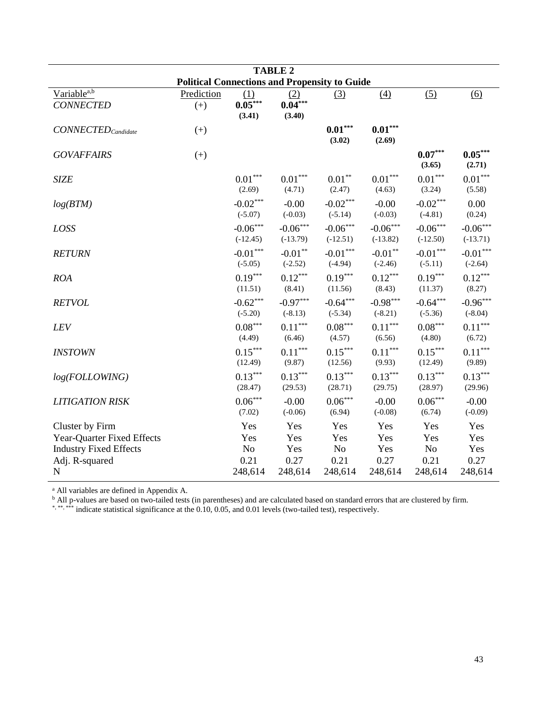| <b>TABLE 2</b>                                                                                                  |                                                      |                                              |                                      |                                              |                                      |                                                 |                                              |  |
|-----------------------------------------------------------------------------------------------------------------|------------------------------------------------------|----------------------------------------------|--------------------------------------|----------------------------------------------|--------------------------------------|-------------------------------------------------|----------------------------------------------|--|
|                                                                                                                 | <b>Political Connections and Propensity to Guide</b> |                                              |                                      |                                              |                                      |                                                 |                                              |  |
| Variable <sup>a,b</sup><br><b>CONNECTED</b>                                                                     | Prediction<br>$(+)$                                  | (1)<br>$0.05***$<br>(3.41)                   | (2)<br>$0.04***$<br>(3.40)           | (3)                                          | (4)                                  | (5)                                             | (6)                                          |  |
| $CONNECTED_{\textit{Candidate}}$                                                                                | $(+)$                                                |                                              |                                      | $0.01***$<br>(3.02)                          | $\textbf{0.01}^{***}$<br>(2.69)      |                                                 |                                              |  |
| <b>GOVAFFAIRS</b>                                                                                               | $(+)$                                                |                                              |                                      |                                              |                                      | $0.07***$<br>(3.65)                             | $0.05***$<br>(2.71)                          |  |
| <b>SIZE</b>                                                                                                     |                                                      | $0.01^{\ast\ast\ast}$<br>(2.69)              | $0.01^{\ast\ast\ast}$<br>(4.71)      | $0.01**$<br>(2.47)                           | $0.01^{\ast\ast\ast}$<br>(4.63)      | $0.01^{\ast\ast\ast}$<br>(3.24)                 | $0.01^{\ast\ast\ast}$<br>(5.58)              |  |
| log(BTM)                                                                                                        |                                                      | $-0.02***$<br>$(-5.07)$                      | $-0.00$<br>$(-0.03)$                 | $-0.02***$<br>$(-5.14)$                      | $-0.00$<br>$(-0.03)$                 | $-0.02***$<br>$(-4.81)$                         | 0.00<br>(0.24)                               |  |
| LOSS                                                                                                            |                                                      | $-0.06***$<br>$(-12.45)$                     | $-0.06***$<br>$(-13.79)$             | $-0.06***$<br>$(-12.51)$                     | $-0.06***$<br>$(-13.82)$             | $-0.06***$<br>$(-12.50)$                        | $-0.06***$<br>$(-13.71)$                     |  |
| <b>RETURN</b>                                                                                                   |                                                      | $\textbf{-0.01}^{\ast\ast\ast}$<br>$(-5.05)$ | $-0.01***$<br>$(-2.52)$              | $\textbf{-0.01}^{\ast\ast\ast}$<br>$(-4.94)$ | $-0.01**$<br>$(-2.46)$               | $-0.01***$<br>$(-5.11)$                         | $\textbf{-0.01}^{\ast\ast\ast}$<br>$(-2.64)$ |  |
| <b>ROA</b>                                                                                                      |                                                      | $0.19***$<br>(11.51)                         | $0.12***$<br>(8.41)                  | $0.19***$<br>(11.56)                         | $0.12***$<br>(8.43)                  | $0.19***$<br>(11.37)                            | $0.12***$<br>(8.27)                          |  |
| <b>RETVOL</b>                                                                                                   |                                                      | $-0.62***$<br>$(-5.20)$                      | $-0.97***$<br>$(-8.13)$              | $-0.64***$<br>$(-5.34)$                      | $-0.98***$<br>$(-8.21)$              | $-0.64***$<br>$(-5.36)$                         | $-0.96***$<br>$(-8.04)$                      |  |
| LEV                                                                                                             |                                                      | $0.08***$<br>(4.49)                          | $0.11***$<br>(6.46)                  | $0.08***$<br>(4.57)                          | $0.11***$<br>(6.56)                  | $0.08***$<br>(4.80)                             | $0.11***$<br>(6.72)                          |  |
| <b>INSTOWN</b>                                                                                                  |                                                      | $0.15***$<br>(12.49)                         | $0.11^{\ast\ast\ast}$<br>(9.87)      | $0.15***$<br>(12.56)                         | $0.11^{\ast\ast\ast}$<br>(9.93)      | $0.15***$<br>(12.49)                            | $0.11^{\ast\ast\ast}$<br>(9.89)              |  |
| log(FOLLOWING)                                                                                                  |                                                      | $0.13***$<br>(28.47)                         | $0.13***$<br>(29.53)                 | $0.13***$<br>(28.71)                         | $0.13***$<br>(29.75)                 | $0.13***$<br>(28.97)                            | $0.13***$<br>(29.96)                         |  |
| <b>LITIGATION RISK</b>                                                                                          |                                                      | $0.06^{\ast\ast\ast}$<br>(7.02)              | $-0.00$<br>$(-0.06)$                 | $0.06***$<br>(6.94)                          | $-0.00$<br>$(-0.08)$                 | $0.06***$<br>(6.74)                             | $-0.00$<br>$(-0.09)$                         |  |
| Cluster by Firm<br>Year-Quarter Fixed Effects<br><b>Industry Fixed Effects</b><br>Adj. R-squared<br>$\mathbf N$ |                                                      | Yes<br>Yes<br>No<br>0.21<br>248,614          | Yes<br>Yes<br>Yes<br>0.27<br>248,614 | Yes<br>Yes<br>No<br>0.21<br>248,614          | Yes<br>Yes<br>Yes<br>0.27<br>248,614 | Yes<br>Yes<br>N <sub>o</sub><br>0.21<br>248,614 | Yes<br>Yes<br>Yes<br>0.27<br>248,614         |  |

<sup>b</sup> All p-values are based on two-tailed tests (in parentheses) and are calculated based on standard errors that are clustered by firm.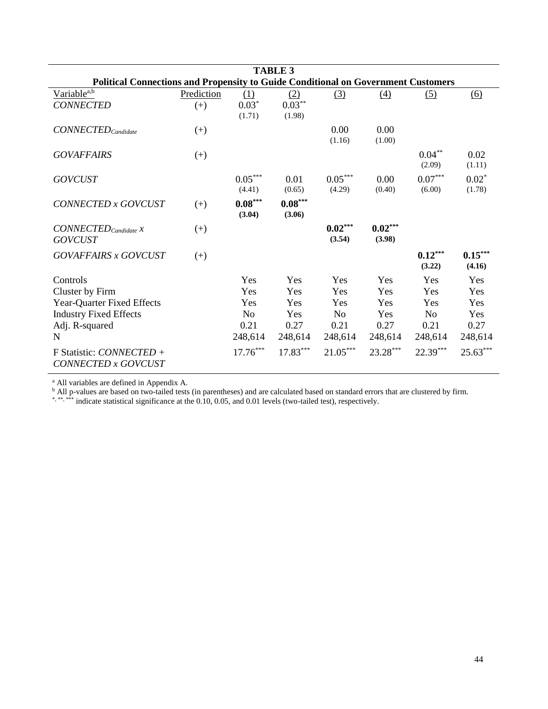| <b>TABLE 3</b>                                                                                                                                                                     |                     |                                                                      |                                                           |                                                                      |                                                         |                                                        |                                                           |  |  |
|------------------------------------------------------------------------------------------------------------------------------------------------------------------------------------|---------------------|----------------------------------------------------------------------|-----------------------------------------------------------|----------------------------------------------------------------------|---------------------------------------------------------|--------------------------------------------------------|-----------------------------------------------------------|--|--|
| <b>Political Connections and Propensity to Guide Conditional on Government Customers</b>                                                                                           |                     |                                                                      |                                                           |                                                                      |                                                         |                                                        |                                                           |  |  |
| Variable <sup>a,b</sup><br><b>CONNECTED</b>                                                                                                                                        | Prediction<br>$(+)$ | (1)<br>$0.03*$<br>(1.71)                                             | (2)<br>$0.03***$<br>(1.98)                                | (3)                                                                  | (4)                                                     | (5)                                                    | (6)                                                       |  |  |
| $CONNECTED_{candidate}$                                                                                                                                                            | $(+)$               |                                                                      |                                                           | 0.00<br>(1.16)                                                       | 0.00<br>(1.00)                                          |                                                        |                                                           |  |  |
| <b>GOVAFFAIRS</b>                                                                                                                                                                  | $(+)$               |                                                                      |                                                           |                                                                      |                                                         | $0.04**$<br>(2.09)                                     | 0.02<br>(1.11)                                            |  |  |
| <b>GOVCUST</b>                                                                                                                                                                     |                     | $0.05^{\ast\ast\ast}$<br>(4.41)                                      | 0.01<br>(0.65)                                            | $0.05***$<br>(4.29)                                                  | 0.00<br>(0.40)                                          | $0.07***$<br>(6.00)                                    | $0.02*$<br>(1.78)                                         |  |  |
| CONNECTED x GOVCUST                                                                                                                                                                | $(+)$               | $0.08***$<br>(3.04)                                                  | $0.08***$<br>(3.06)                                       |                                                                      |                                                         |                                                        |                                                           |  |  |
| $CONNECTED_{\text{candidate}} x$<br><b>GOVCUST</b>                                                                                                                                 | $(+)$               |                                                                      |                                                           | $0.02***$<br>(3.54)                                                  | $0.02***$<br>(3.98)                                     |                                                        |                                                           |  |  |
| <b>GOVAFFAIRS x GOVCUST</b>                                                                                                                                                        | $(+)$               |                                                                      |                                                           |                                                                      |                                                         | $0.12***$<br>(3.22)                                    | $0.15***$<br>(4.16)                                       |  |  |
| Controls<br>Cluster by Firm<br><b>Year-Quarter Fixed Effects</b><br><b>Industry Fixed Effects</b><br>Adj. R-squared<br>N<br>F Statistic: <i>CONNECTED</i> +<br>CONNECTED x GOVCUST |                     | Yes<br>Yes<br>Yes<br>N <sub>o</sub><br>0.21<br>248,614<br>$17.76***$ | Yes<br>Yes<br>Yes<br>Yes<br>0.27<br>248,614<br>$17.83***$ | Yes<br>Yes<br>Yes<br>N <sub>o</sub><br>0.21<br>248,614<br>$21.05***$ | Yes<br>Yes<br>Yes<br>Yes<br>0.27<br>248,614<br>23.28*** | Yes<br>Yes<br>Yes<br>No<br>0.21<br>248,614<br>22.39*** | Yes<br>Yes<br>Yes<br>Yes<br>0.27<br>248,614<br>$25.63***$ |  |  |

<sup>b</sup> All p-values are based on two-tailed tests (in parentheses) and are calculated based on standard errors that are clustered by firm.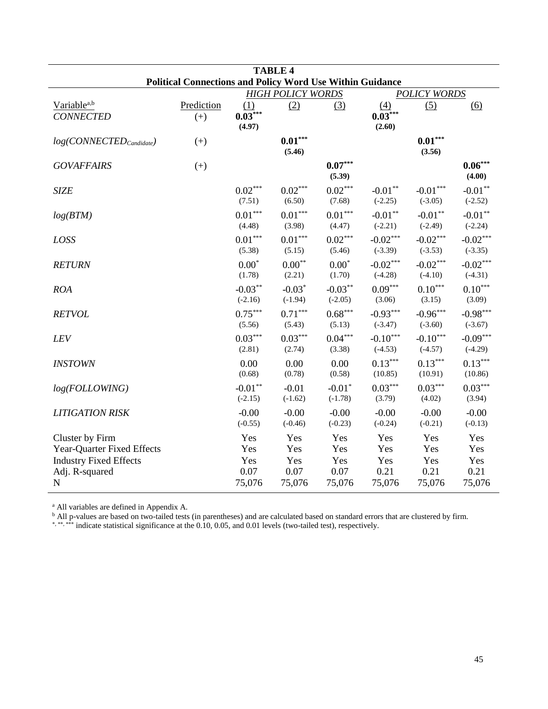| <b>TABLE 4</b>                                                                                                  |                     |                                     |                                     |                                     |                                     |                                     |                                     |  |  |
|-----------------------------------------------------------------------------------------------------------------|---------------------|-------------------------------------|-------------------------------------|-------------------------------------|-------------------------------------|-------------------------------------|-------------------------------------|--|--|
| <b>Political Connections and Policy Word Use Within Guidance</b>                                                |                     |                                     |                                     |                                     |                                     |                                     |                                     |  |  |
|                                                                                                                 |                     |                                     | <b>HIGH POLICY WORDS</b>            |                                     |                                     | <b>POLICY WORDS</b>                 |                                     |  |  |
| Variable <sup>a,b</sup><br><b>CONNECTED</b>                                                                     | Prediction<br>$(+)$ | (1)<br>$0.03***$<br>(4.97)          | (2)                                 | (3)                                 | (4)<br>$0.03***$<br>(2.60)          | (5)                                 | (6)                                 |  |  |
| $log(CONNECTED_{candidate})$                                                                                    | $(+)$               |                                     | $0.01***$<br>(5.46)                 |                                     |                                     | $0.01***$<br>(3.56)                 |                                     |  |  |
| <b>GOVAFFAIRS</b>                                                                                               | $(+)$               |                                     |                                     | $0.07***$<br>(5.39)                 |                                     |                                     | $\mathbf{0.06}^{***}$<br>(4.00)     |  |  |
| <b>SIZE</b>                                                                                                     |                     | $0.02***$<br>(7.51)                 | $0.02***$<br>(6.50)                 | $0.02***$<br>(7.68)                 | $-0.01***$<br>$(-2.25)$             | $-0.01***$<br>$(-3.05)$             | $-0.01***$<br>$(-2.52)$             |  |  |
| log(BTM)                                                                                                        |                     | $0.01***$<br>(4.48)                 | $0.01***$<br>(3.98)                 | $0.01***$<br>(4.47)                 | $-0.01**$<br>$(-2.21)$              | $-0.01**$<br>$(-2.49)$              | $-0.01**$<br>$(-2.24)$              |  |  |
| LOSS                                                                                                            |                     | $0.01***$<br>(5.38)                 | $0.01^{\ast\ast\ast}$<br>(5.15)     | $0.02***$<br>(5.46)                 | $-0.02***$<br>$(-3.39)$             | $-0.02***$<br>$(-3.53)$             | $-0.02***$<br>$(-3.35)$             |  |  |
| <b>RETURN</b>                                                                                                   |                     | $0.00*$<br>(1.78)                   | $0.00***$<br>(2.21)                 | $0.00*$<br>(1.70)                   | $-0.02***$<br>$(-4.28)$             | $-0.02***$<br>$(-4.10)$             | $-0.02***$<br>$(-4.31)$             |  |  |
| <b>ROA</b>                                                                                                      |                     | $-0.03**$<br>$(-2.16)$              | $-0.03*$<br>$(-1.94)$               | $-0.03***$<br>$(-2.05)$             | $0.09***$<br>(3.06)                 | $0.10***$<br>(3.15)                 | $0.10***$<br>(3.09)                 |  |  |
| <b>RETVOL</b>                                                                                                   |                     | $0.75***$<br>(5.56)                 | $0.71^{\ast\ast\ast}$<br>(5.43)     | $0.68***$<br>(5.13)                 | $-0.93***$<br>$(-3.47)$             | $-0.96***$<br>$(-3.60)$             | $-0.98***$<br>$(-3.67)$             |  |  |
| LEV                                                                                                             |                     | $0.03***$<br>(2.81)                 | $0.03***$<br>(2.74)                 | $0.04***$<br>(3.38)                 | $-0.10***$<br>$(-4.53)$             | $-0.10***$<br>$(-4.57)$             | $-0.09***$<br>$(-4.29)$             |  |  |
| <b>INSTOWN</b>                                                                                                  |                     | 0.00<br>(0.68)                      | 0.00<br>(0.78)                      | 0.00<br>(0.58)                      | $0.13***$<br>(10.85)                | $0.13***$<br>(10.91)                | $0.13***$<br>(10.86)                |  |  |
| log(FOLLOWING)                                                                                                  |                     | $-0.01***$<br>$(-2.15)$             | $-0.01$<br>$(-1.62)$                | $-0.01*$<br>$(-1.78)$               | $0.03***$<br>(3.79)                 | $0.03***$<br>(4.02)                 | $0.03***$<br>(3.94)                 |  |  |
| <b>LITIGATION RISK</b>                                                                                          |                     | $-0.00$<br>$(-0.55)$                | $-0.00$<br>$(-0.46)$                | $-0.00$<br>$(-0.23)$                | $-0.00$<br>$(-0.24)$                | $-0.00$<br>$(-0.21)$                | $-0.00$<br>$(-0.13)$                |  |  |
| Cluster by Firm<br>Year-Quarter Fixed Effects<br><b>Industry Fixed Effects</b><br>Adj. R-squared<br>$\mathbf N$ |                     | Yes<br>Yes<br>Yes<br>0.07<br>75,076 | Yes<br>Yes<br>Yes<br>0.07<br>75,076 | Yes<br>Yes<br>Yes<br>0.07<br>75,076 | Yes<br>Yes<br>Yes<br>0.21<br>75,076 | Yes<br>Yes<br>Yes<br>0.21<br>75,076 | Yes<br>Yes<br>Yes<br>0.21<br>75,076 |  |  |

<sup>b</sup> All p-values are based on two-tailed tests (in parentheses) and are calculated based on standard errors that are clustered by firm.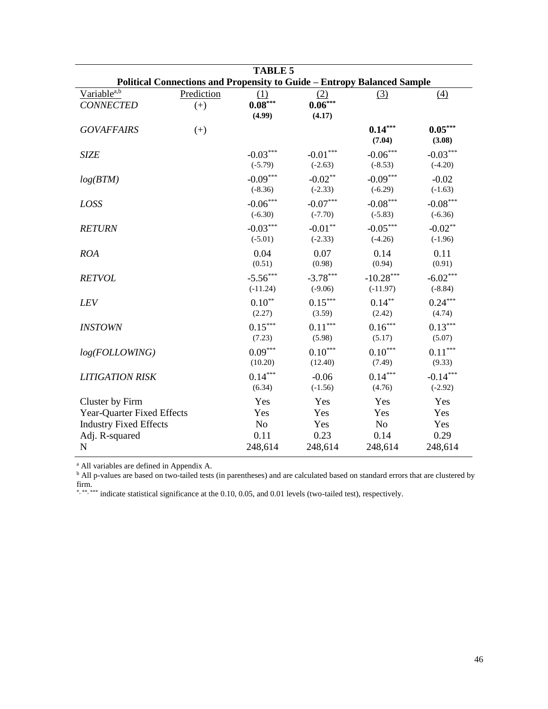| <b>TABLE 5</b>                                                                 |                     |                            |                                        |                                     |                                 |  |  |  |  |
|--------------------------------------------------------------------------------|---------------------|----------------------------|----------------------------------------|-------------------------------------|---------------------------------|--|--|--|--|
| <b>Political Connections and Propensity to Guide - Entropy Balanced Sample</b> |                     |                            |                                        |                                     |                                 |  |  |  |  |
| Variable <sup>a,b</sup><br><b>CONNECTED</b>                                    | Prediction<br>$(+)$ | (1)<br>$0.08***$<br>(4.99) | (2)<br>$0.06***$<br>(4.17)             | (3)                                 | (4)                             |  |  |  |  |
| <b>GOVAFFAIRS</b>                                                              | $(+)$               |                            |                                        | $0.14***$<br>(7.04)                 | $0.05***$<br>(3.08)             |  |  |  |  |
| <b>SIZE</b>                                                                    |                     | $-0.03***$<br>$(-5.79)$    | $-0.01***$<br>$(-2.63)$                | $-0.06^{\ast\ast\ast}$<br>$(-8.53)$ | $-0.03***$<br>$(-4.20)$         |  |  |  |  |
| log(BTM)                                                                       |                     | $-0.09***$<br>$(-8.36)$    | $-0.02**$<br>$(-2.33)$                 | $-0.09***$<br>$(-6.29)$             | $-0.02$<br>$(-1.63)$            |  |  |  |  |
| LOSS                                                                           |                     | $-0.06***$<br>$(-6.30)$    | $-0.07***$<br>$(-7.70)$                | $-0.08***$<br>$(-5.83)$             | $-0.08***$<br>$(-6.36)$         |  |  |  |  |
| <b>RETURN</b>                                                                  |                     | $-0.03***$<br>$(-5.01)$    | $\textnormal{-}0.01^{**}$<br>$(-2.33)$ | $-0.05***$<br>$(-4.26)$             | $-0.02**$<br>$(-1.96)$          |  |  |  |  |
| <b>ROA</b>                                                                     |                     | 0.04<br>(0.51)             | 0.07<br>(0.98)                         | 0.14<br>(0.94)                      | 0.11<br>(0.91)                  |  |  |  |  |
| <b>RETVOL</b>                                                                  |                     | $-5.56***$<br>$(-11.24)$   | $-3.78***$<br>$(-9.06)$                | $-10.28***$<br>$(-11.97)$           | $-6.02***$<br>$(-8.84)$         |  |  |  |  |
| <b>LEV</b>                                                                     |                     | $0.10***$<br>(2.27)        | $0.15^{\ast\ast\ast}$<br>(3.59)        | $0.14***$<br>(2.42)                 | $0.24***$<br>(4.74)             |  |  |  |  |
| <b>INSTOWN</b>                                                                 |                     | $0.15***$<br>(7.23)        | $0.11***$<br>(5.98)                    | $0.16***$<br>(5.17)                 | $0.13***$<br>(5.07)             |  |  |  |  |
| log(FOLLOWING)                                                                 |                     | $0.09***$<br>(10.20)       | $0.10^{\ast\ast\ast}$<br>(12.40)       | $0.10***$<br>(7.49)                 | $0.11^{\ast\ast\ast}$<br>(9.33) |  |  |  |  |
| <b>LITIGATION RISK</b>                                                         |                     | $0.14***$<br>(6.34)        | $-0.06$<br>$(-1.56)$                   | $0.14***$<br>(4.76)                 | $-0.14***$<br>$(-2.92)$         |  |  |  |  |
| Cluster by Firm                                                                |                     | Yes                        | Yes                                    | Yes                                 | Yes                             |  |  |  |  |
| Year-Quarter Fixed Effects                                                     |                     | Yes                        | Yes                                    | Yes                                 | Yes                             |  |  |  |  |
| <b>Industry Fixed Effects</b>                                                  |                     | N <sub>o</sub>             | Yes                                    | N <sub>o</sub>                      | Yes                             |  |  |  |  |
| Adj. R-squared                                                                 |                     | 0.11                       | 0.23                                   | 0.14                                | 0.29                            |  |  |  |  |
| $\mathbf N$                                                                    |                     | 248,614                    | 248,614                                | 248,614                             | 248,614                         |  |  |  |  |

<sup>a</sup> All variables are defined in Appendix A.

<sup>b</sup> All p-values are based on two-tailed tests (in parentheses) and are calculated based on standard errors that are clustered by firm.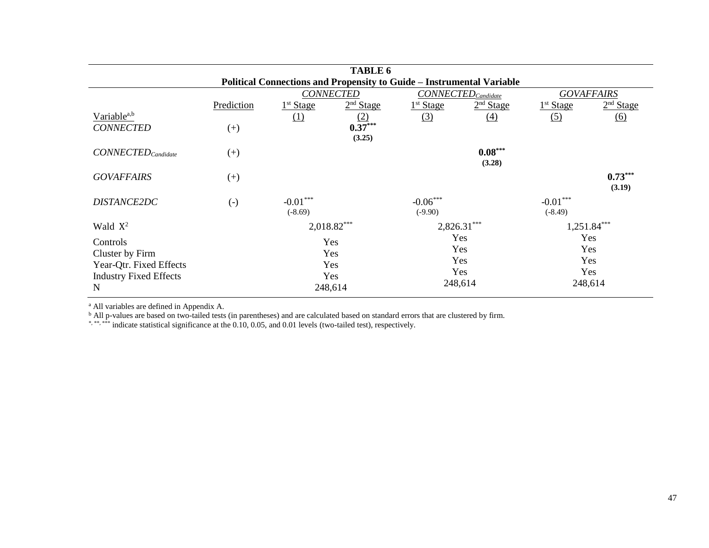|                                  | <b>TABLE 6</b>    |                                                      |                                                                              |                       |                       |                       |                       |  |
|----------------------------------|-------------------|------------------------------------------------------|------------------------------------------------------------------------------|-----------------------|-----------------------|-----------------------|-----------------------|--|
|                                  |                   |                                                      | <b>Political Connections and Propensity to Guide - Instrumental Variable</b> |                       |                       |                       |                       |  |
|                                  |                   | <b>CONNECTED</b><br>$CONNECTED_{\textit{Candidate}}$ |                                                                              |                       |                       | <b>GOVAFFAIRS</b>     |                       |  |
|                                  | Prediction        | 1 <sup>st</sup> Stage                                | 2 <sup>nd</sup> Stage                                                        | 1 <sup>st</sup> Stage | 2 <sup>nd</sup> Stage | 1 <sup>st</sup> Stage | 2 <sup>nd</sup> Stage |  |
| Variable <sup>a,b</sup>          |                   | (1)                                                  | $\frac{(2)}{0.37}$ ***                                                       | (3)                   | (4)                   | (5)                   | <u>(6)</u>            |  |
| <b>CONNECTED</b>                 | $^{(+)}$          |                                                      |                                                                              |                       |                       |                       |                       |  |
|                                  |                   |                                                      | (3.25)                                                                       |                       |                       |                       |                       |  |
| $CONNECTED_{\textit{Candidate}}$ | $(+)$             |                                                      |                                                                              |                       | $0.08***$             |                       |                       |  |
|                                  |                   |                                                      |                                                                              |                       | (3.28)                |                       |                       |  |
| <b>GOVAFFAIRS</b>                | $^{(+)}$          |                                                      |                                                                              |                       |                       |                       | $0.73***$             |  |
|                                  |                   |                                                      |                                                                              |                       |                       |                       | (3.19)                |  |
| DISTANCE2DC                      | $\left( -\right)$ | $-0.01***$                                           |                                                                              | $-0.06***$            |                       | $-0.01***$            |                       |  |
|                                  |                   | $(-8.69)$                                            |                                                                              | $(-9.90)$             |                       | $(-8.49)$             |                       |  |
| Wald $X^2$                       |                   |                                                      | $2,018.82***$                                                                |                       | $2,826.31***$         |                       | $1,251.84***$         |  |
| Controls                         |                   |                                                      | Yes                                                                          |                       | Yes                   |                       | Yes                   |  |
| Cluster by Firm                  |                   |                                                      | Yes                                                                          |                       | Yes                   |                       | Yes                   |  |
| Year-Qtr. Fixed Effects          |                   |                                                      | Yes                                                                          |                       | Yes                   |                       | Yes                   |  |
| <b>Industry Fixed Effects</b>    |                   |                                                      | Yes                                                                          |                       | Yes                   |                       | Yes                   |  |
| $\mathbf N$                      |                   |                                                      | 248,614                                                                      |                       | 248,614               |                       | 248,614               |  |

<sup>b</sup> All p-values are based on two-tailed tests (in parentheses) and are calculated based on standard errors that are clustered by firm.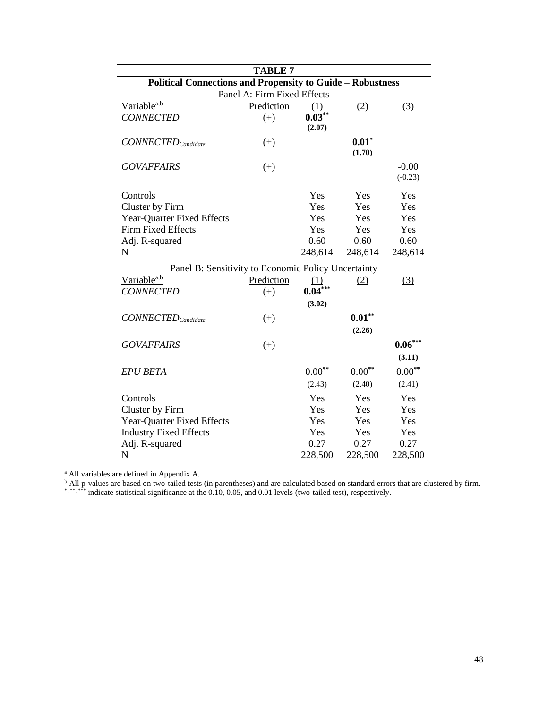| <b>TABLE 7</b>                                                    |                             |           |          |             |  |  |  |  |
|-------------------------------------------------------------------|-----------------------------|-----------|----------|-------------|--|--|--|--|
| <b>Political Connections and Propensity to Guide - Robustness</b> |                             |           |          |             |  |  |  |  |
|                                                                   | Panel A: Firm Fixed Effects |           |          |             |  |  |  |  |
| Variable <sup>a,b</sup>                                           | Prediction                  | (1)       | (2)      | (3)         |  |  |  |  |
| <b>CONNECTED</b>                                                  | $(+)$                       | $0.03***$ |          |             |  |  |  |  |
|                                                                   |                             | (2.07)    |          |             |  |  |  |  |
| $CONNECTED_{\textit{>Candidate}}$                                 | $(+)$                       |           | $0.01*$  |             |  |  |  |  |
|                                                                   |                             |           | (1.70)   |             |  |  |  |  |
| <b>GOVAFFAIRS</b>                                                 | $^{(+)}$                    |           |          | $-0.00$     |  |  |  |  |
|                                                                   |                             |           |          | $(-0.23)$   |  |  |  |  |
| Controls                                                          |                             | Yes       | Yes      | Yes         |  |  |  |  |
| Cluster by Firm                                                   |                             | Yes       | Yes      | Yes         |  |  |  |  |
| <b>Year-Quarter Fixed Effects</b>                                 |                             | Yes       | Yes      | Yes         |  |  |  |  |
| <b>Firm Fixed Effects</b>                                         |                             | Yes       | Yes      | Yes         |  |  |  |  |
| Adj. R-squared                                                    |                             | 0.60      | 0.60     | 0.60        |  |  |  |  |
| $\mathbf N$                                                       |                             | 248,614   | 248,614  | 248,614     |  |  |  |  |
| Panel B: Sensitivity to Economic Policy Uncertainty               |                             |           |          |             |  |  |  |  |
| Variable <sup>a,b</sup>                                           | Prediction                  | (1)       | (2)      | (3)         |  |  |  |  |
| <b>CONNECTED</b>                                                  | $(+)$                       | $0.04***$ |          |             |  |  |  |  |
|                                                                   |                             | (3.02)    |          |             |  |  |  |  |
| $CONNECTED_{\text{candidate}}$                                    | $(+)$                       |           | $0.01**$ |             |  |  |  |  |
|                                                                   |                             |           | (2.26)   |             |  |  |  |  |
| <b>GOVAFFAIRS</b>                                                 | $^{(+)}$                    |           |          | $0.06***$   |  |  |  |  |
|                                                                   |                             |           |          | (3.11)      |  |  |  |  |
| <b>EPU BETA</b>                                                   |                             | $0.00**$  | $0.00**$ | $0.00^{**}$ |  |  |  |  |
|                                                                   |                             | (2.43)    | (2.40)   | (2.41)      |  |  |  |  |
| Controls                                                          |                             | Yes       | Yes      | Yes         |  |  |  |  |
| Cluster by Firm                                                   |                             | Yes       | Yes      | Yes         |  |  |  |  |
| <b>Year-Quarter Fixed Effects</b>                                 |                             | Yes       | Yes      | Yes         |  |  |  |  |
| <b>Industry Fixed Effects</b>                                     |                             | Yes       | Yes      | Yes         |  |  |  |  |
| Adj. R-squared                                                    |                             | 0.27      | 0.27     | 0.27        |  |  |  |  |
| N                                                                 |                             | 228,500   | 228,500  | 228,500     |  |  |  |  |

<sup>a</sup> All variables are defined in Appendix A.

<sup>b</sup> All p-values are based on two-tailed tests (in parentheses) and are calculated based on standard errors that are clustered by firm.